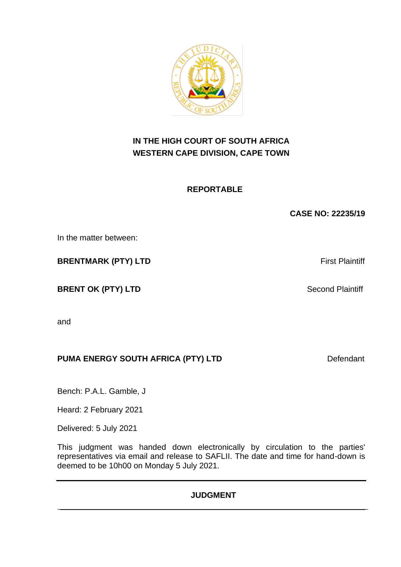**IN THE HIGH COURT OF SOUTH AFRICA WESTERN CAPE DIVISION, CAPE TOWN**

**REPORTABLE** 

**CASE NO: 22235/19**

In the matter between:

**BRENTMARK (PTY) LTD** First Plaintiff

**BRENT OK (PTY) LTD** Second Plaintiff

and

# **PUMA ENERGY SOUTH AFRICA (PTY) LTD** Defendant

Bench: P.A.L. Gamble, J

Heard: 2 February 2021

Delivered: 5 July 2021

This judgment was handed down electronically by circulation to the parties' representatives via email and release to SAFLII. The date and time for hand-down is deemed to be 10h00 on Monday 5 July 2021.

## **JUDGMENT**

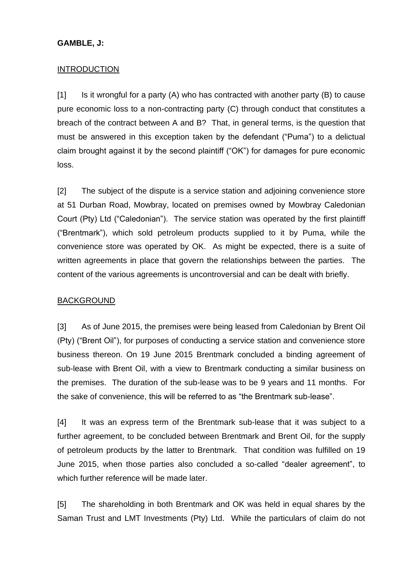#### **GAMBLE, J:**

#### INTRODUCTION

[1] Is it wrongful for a party (A) who has contracted with another party (B) to cause pure economic loss to a non-contracting party (C) through conduct that constitutes a breach of the contract between A and B? That, in general terms, is the question that must be answered in this exception taken by the defendant ("Puma") to a delictual claim brought against it by the second plaintiff ("OK") for damages for pure economic loss.

[2] The subject of the dispute is a service station and adjoining convenience store at 51 Durban Road, Mowbray, located on premises owned by Mowbray Caledonian Court (Pty) Ltd ("Caledonian"). The service station was operated by the first plaintiff ("Brentmark"), which sold petroleum products supplied to it by Puma, while the convenience store was operated by OK. As might be expected, there is a suite of written agreements in place that govern the relationships between the parties. The content of the various agreements is uncontroversial and can be dealt with briefly.

#### BACKGROUND

[3] As of June 2015, the premises were being leased from Caledonian by Brent Oil (Pty) ("Brent Oil"), for purposes of conducting a service station and convenience store business thereon. On 19 June 2015 Brentmark concluded a binding agreement of sub-lease with Brent Oil, with a view to Brentmark conducting a similar business on the premises. The duration of the sub-lease was to be 9 years and 11 months. For the sake of convenience, this will be referred to as "the Brentmark sub-lease".

[4] It was an express term of the Brentmark sub-lease that it was subject to a further agreement, to be concluded between Brentmark and Brent Oil, for the supply of petroleum products by the latter to Brentmark. That condition was fulfilled on 19 June 2015, when those parties also concluded a so-called "dealer agreement", to which further reference will be made later.

[5] The shareholding in both Brentmark and OK was held in equal shares by the Saman Trust and LMT Investments (Pty) Ltd. While the particulars of claim do not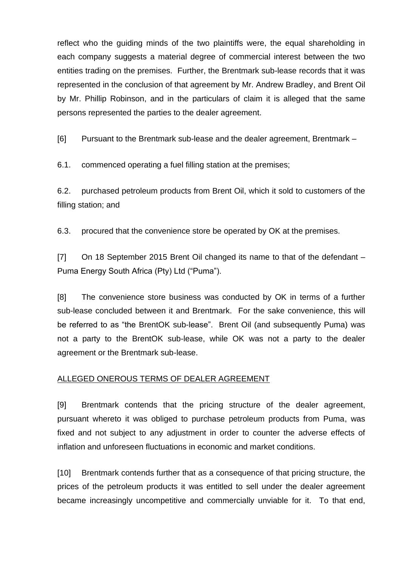reflect who the guiding minds of the two plaintiffs were, the equal shareholding in each company suggests a material degree of commercial interest between the two entities trading on the premises. Further, the Brentmark sub-lease records that it was represented in the conclusion of that agreement by Mr. Andrew Bradley, and Brent Oil by Mr. Phillip Robinson, and in the particulars of claim it is alleged that the same persons represented the parties to the dealer agreement.

[6] Pursuant to the Brentmark sub-lease and the dealer agreement, Brentmark –

6.1. commenced operating a fuel filling station at the premises;

6.2. purchased petroleum products from Brent Oil, which it sold to customers of the filling station; and

6.3. procured that the convenience store be operated by OK at the premises.

[7] On 18 September 2015 Brent Oil changed its name to that of the defendant – Puma Energy South Africa (Pty) Ltd ("Puma").

[8] The convenience store business was conducted by OK in terms of a further sub-lease concluded between it and Brentmark. For the sake convenience, this will be referred to as "the BrentOK sub-lease". Brent Oil (and subsequently Puma) was not a party to the BrentOK sub-lease, while OK was not a party to the dealer agreement or the Brentmark sub-lease.

## ALLEGED ONEROUS TERMS OF DEALER AGREEMENT

[9] Brentmark contends that the pricing structure of the dealer agreement, pursuant whereto it was obliged to purchase petroleum products from Puma, was fixed and not subject to any adjustment in order to counter the adverse effects of inflation and unforeseen fluctuations in economic and market conditions.

[10] Brentmark contends further that as a consequence of that pricing structure, the prices of the petroleum products it was entitled to sell under the dealer agreement became increasingly uncompetitive and commercially unviable for it. To that end,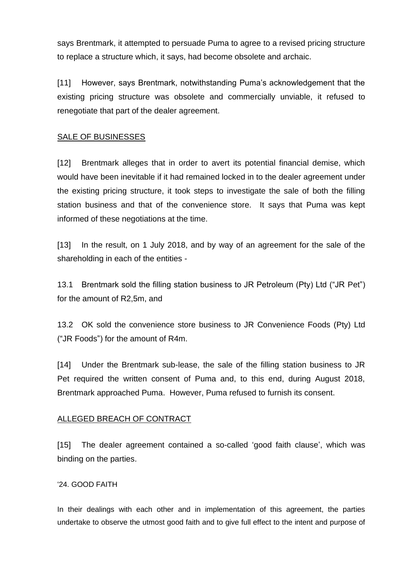says Brentmark, it attempted to persuade Puma to agree to a revised pricing structure to replace a structure which, it says, had become obsolete and archaic.

[11] However, says Brentmark, notwithstanding Puma's acknowledgement that the existing pricing structure was obsolete and commercially unviable, it refused to renegotiate that part of the dealer agreement.

### SALE OF BUSINESSES

[12] Brentmark alleges that in order to avert its potential financial demise, which would have been inevitable if it had remained locked in to the dealer agreement under the existing pricing structure, it took steps to investigate the sale of both the filling station business and that of the convenience store. It says that Puma was kept informed of these negotiations at the time.

[13] In the result, on 1 July 2018, and by way of an agreement for the sale of the shareholding in each of the entities -

13.1 Brentmark sold the filling station business to JR Petroleum (Pty) Ltd ("JR Pet") for the amount of R2,5m, and

13.2 OK sold the convenience store business to JR Convenience Foods (Pty) Ltd ("JR Foods") for the amount of R4m.

[14] Under the Brentmark sub-lease, the sale of the filling station business to JR Pet required the written consent of Puma and, to this end, during August 2018, Brentmark approached Puma. However, Puma refused to furnish its consent.

#### ALLEGED BREACH OF CONTRACT

[15] The dealer agreement contained a so-called 'good faith clause', which was binding on the parties.

#### '24. GOOD FAITH

In their dealings with each other and in implementation of this agreement, the parties undertake to observe the utmost good faith and to give full effect to the intent and purpose of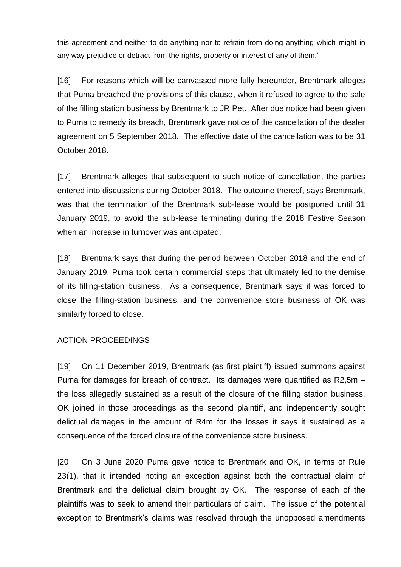this agreement and neither to do anything nor to refrain from doing anything which might in any way prejudice or detract from the rights, property or interest of any of them.'

[16] For reasons which will be canvassed more fully hereunder, Brentmark alleges that Puma breached the provisions of this clause, when it refused to agree to the sale of the filling station business by Brentmark to JR Pet. After due notice had been given to Puma to remedy its breach, Brentmark gave notice of the cancellation of the dealer agreement on 5 September 2018. The effective date of the cancellation was to be 31 October 2018.

[17] Brentmark alleges that subsequent to such notice of cancellation, the parties entered into discussions during October 2018. The outcome thereof, says Brentmark, was that the termination of the Brentmark sub-lease would be postponed until 31 January 2019, to avoid the sub-lease terminating during the 2018 Festive Season when an increase in turnover was anticipated.

[18] Brentmark says that during the period between October 2018 and the end of January 2019, Puma took certain commercial steps that ultimately led to the demise of its filling-station business. As a consequence, Brentmark says it was forced to close the filling-station business, and the convenience store business of OK was similarly forced to close.

#### ACTION PROCEEDINGS

[19] On 11 December 2019, Brentmark (as first plaintiff) issued summons against Puma for damages for breach of contract. Its damages were quantified as R2,5m – the loss allegedly sustained as a result of the closure of the filling station business. OK joined in those proceedings as the second plaintiff, and independently sought delictual damages in the amount of R4m for the losses it says it sustained as a consequence of the forced closure of the convenience store business.

[20] On 3 June 2020 Puma gave notice to Brentmark and OK, in terms of Rule 23(1), that it intended noting an exception against both the contractual claim of Brentmark and the delictual claim brought by OK. The response of each of the plaintiffs was to seek to amend their particulars of claim. The issue of the potential exception to Brentmark's claims was resolved through the unopposed amendments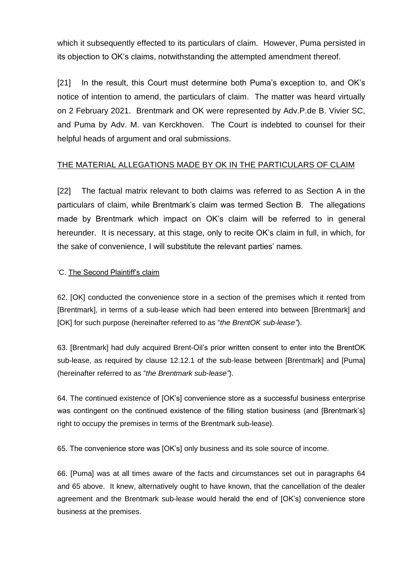which it subsequently effected to its particulars of claim. However, Puma persisted in its objection to OK's claims, notwithstanding the attempted amendment thereof.

[21] In the result, this Court must determine both Puma's exception to, and OK's notice of intention to amend, the particulars of claim. The matter was heard virtually on 2 February 2021. Brentmark and OK were represented by Adv.P.de B. Vivier SC, and Puma by Adv. M. van Kerckhoven. The Court is indebted to counsel for their helpful heads of argument and oral submissions.

## THE MATERIAL ALLEGATIONS MADE BY OK IN THE PARTICULARS OF CLAIM

[22] The factual matrix relevant to both claims was referred to as Section A in the particulars of claim, while Brentmark's claim was termed Section B. The allegations made by Brentmark which impact on OK's claim will be referred to in general hereunder. It is necessary, at this stage, only to recite OK's claim in full, in which, for the sake of convenience, I will substitute the relevant parties' names.

### 'C. The Second Plaintiff's claim

62. [OK] conducted the convenience store in a section of the premises which it rented from [Brentmark], in terms of a sub-lease which had been entered into between [Brentmark] and [OK] for such purpose (hereinafter referred to as "*the BrentOK sub-lease"*).

63. [Brentmark] had duly acquired Brent-Oil's prior written consent to enter into the BrentOK sub-lease, as required by clause 12.12.1 of the sub-lease between [Brentmark] and [Puma] (hereinafter referred to as "*the Brentmark sub-lease"*).

64. The continued existence of [OK's] convenience store as a successful business enterprise was contingent on the continued existence of the filling station business (and [Brentmark's] right to occupy the premises in terms of the Brentmark sub-lease).

65. The convenience store was [OK's] only business and its sole source of income.

66. [Puma] was at all times aware of the facts and circumstances set out in paragraphs 64 and 65 above. It knew, alternatively ought to have known, that the cancellation of the dealer agreement and the Brentmark sub-lease would herald the end of [OK's] convenience store business at the premises.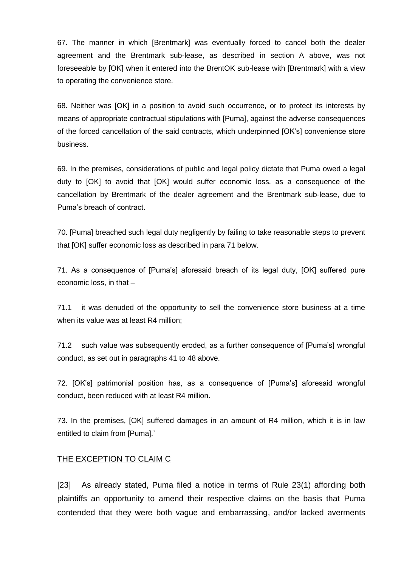67. The manner in which [Brentmark] was eventually forced to cancel both the dealer agreement and the Brentmark sub-lease, as described in section A above, was not foreseeable by [OK] when it entered into the BrentOK sub-lease with [Brentmark] with a view to operating the convenience store.

68. Neither was [OK] in a position to avoid such occurrence, or to protect its interests by means of appropriate contractual stipulations with [Puma], against the adverse consequences of the forced cancellation of the said contracts, which underpinned [OK's] convenience store business.

69. In the premises, considerations of public and legal policy dictate that Puma owed a legal duty to [OK] to avoid that [OK] would suffer economic loss, as a consequence of the cancellation by Brentmark of the dealer agreement and the Brentmark sub-lease, due to Puma's breach of contract.

70. [Puma] breached such legal duty negligently by failing to take reasonable steps to prevent that [OK] suffer economic loss as described in para 71 below.

71. As a consequence of [Puma's] aforesaid breach of its legal duty, [OK] suffered pure economic loss, in that –

71.1 it was denuded of the opportunity to sell the convenience store business at a time when its value was at least R4 million;

71.2 such value was subsequently eroded, as a further consequence of [Puma's] wrongful conduct, as set out in paragraphs 41 to 48 above.

72. [OK's] patrimonial position has, as a consequence of [Puma's] aforesaid wrongful conduct, been reduced with at least R4 million.

73. In the premises, [OK] suffered damages in an amount of R4 million, which it is in law entitled to claim from [Puma].'

#### THE EXCEPTION TO CLAIM C

[23] As already stated, Puma filed a notice in terms of Rule 23(1) affording both plaintiffs an opportunity to amend their respective claims on the basis that Puma contended that they were both vague and embarrassing, and/or lacked averments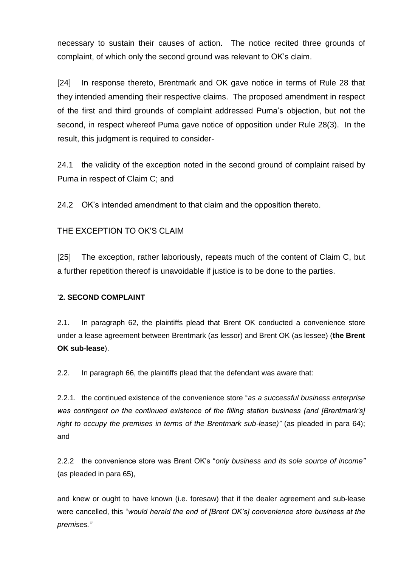necessary to sustain their causes of action. The notice recited three grounds of complaint, of which only the second ground was relevant to OK's claim.

[24] In response thereto, Brentmark and OK gave notice in terms of Rule 28 that they intended amending their respective claims. The proposed amendment in respect of the first and third grounds of complaint addressed Puma's objection, but not the second, in respect whereof Puma gave notice of opposition under Rule 28(3). In the result, this judgment is required to consider-

24.1 the validity of the exception noted in the second ground of complaint raised by Puma in respect of Claim C; and

24.2 OK's intended amendment to that claim and the opposition thereto.

## THE EXCEPTION TO OK'S CLAIM

[25] The exception, rather laboriously, repeats much of the content of Claim C, but a further repetition thereof is unavoidable if justice is to be done to the parties.

#### '**2. SECOND COMPLAINT**

2.1. In paragraph 62, the plaintiffs plead that Brent OK conducted a convenience store under a lease agreement between Brentmark (as lessor) and Brent OK (as lessee) (**the Brent OK sub-lease**).

2.2. In paragraph 66, the plaintiffs plead that the defendant was aware that:

2.2.1. the continued existence of the convenience store "*as a successful business enterprise was contingent on the continued existence of the filling station business (and [Brentmark's] right to occupy the premises in terms of the Brentmark sub-lease)"* (as pleaded in para 64); and

2.2.2 the convenience store was Brent OK's "*only business and its sole source of income"* (as pleaded in para 65),

and knew or ought to have known (i.e. foresaw) that if the dealer agreement and sub-lease were cancelled, this "*would herald the end of [Brent OK's] convenience store business at the premises."*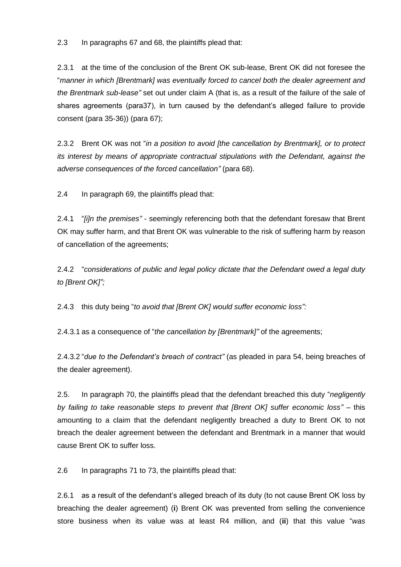2.3 In paragraphs 67 and 68, the plaintiffs plead that:

2.3.1 at the time of the conclusion of the Brent OK sub-lease, Brent OK did not foresee the "*manner in which [Brentmark] was eventually forced to cancel both the dealer agreement and the Brentmark sub-lease"* set out under claim A (that is, as a result of the failure of the sale of shares agreements (para37), in turn caused by the defendant's alleged failure to provide consent (para 35-36)) (para 67);

2.3.2 Brent OK was not "*in a position to avoid [the cancellation by Brentmark], or to protect its interest by means of appropriate contractual stipulations with the Defendant, against the adverse consequences of the forced cancellation"* (para 68).

2.4 In paragraph 69, the plaintiffs plead that:

2.4.1 "*[i]n the premises"* - seemingly referencing both that the defendant foresaw that Brent OK may suffer harm, and that Brent OK was vulnerable to the risk of suffering harm by reason of cancellation of the agreements;

2.4.2 "*considerations of public and legal policy dictate that the Defendant owed a legal duty to [Brent OK]";*

2.4.3 this duty being "*to avoid that [Brent OK] would suffer economic loss":*

2.4.3.1 as a consequence of "*the cancellation by [Brentmark]"* of the agreements;

2.4.3.2 "*due to the Defendant's breach of contract"* (as pleaded in para 54, being breaches of the dealer agreement).

2.5. In paragraph 70, the plaintiffs plead that the defendant breached this duty "*negligently by failing to take reasonable steps to prevent that [Brent OK] suffer economic loss"* – this amounting to a claim that the defendant negligently breached a duty to Brent OK to not breach the dealer agreement between the defendant and Brentmark in a manner that would cause Brent OK to suffer loss.

2.6 In paragraphs 71 to 73, the plaintiffs plead that:

2.6.1 as a result of the defendant's alleged breach of its duty (to not cause Brent OK loss by breaching the dealer agreement) (**i**) Brent OK was prevented from selling the convenience store business when its value was at least R4 million, and (**ii**) that this value "*was*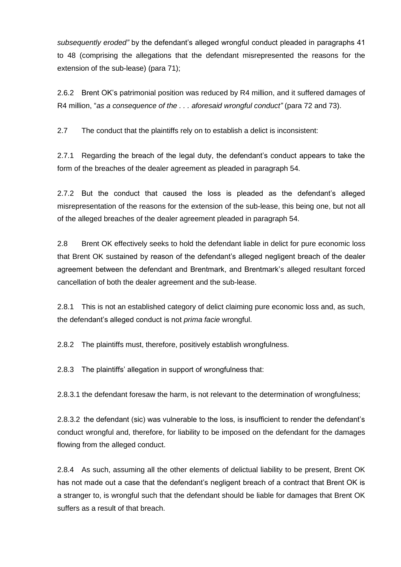*subsequently eroded"* by the defendant's alleged wrongful conduct pleaded in paragraphs 41 to 48 (comprising the allegations that the defendant misrepresented the reasons for the extension of the sub-lease) (para 71);

2.6.2 Brent OK's patrimonial position was reduced by R4 million, and it suffered damages of R4 million, "*as a consequence of the . . . aforesaid wrongful conduct"* (para 72 and 73).

2.7 The conduct that the plaintiffs rely on to establish a delict is inconsistent:

2.7.1 Regarding the breach of the legal duty, the defendant's conduct appears to take the form of the breaches of the dealer agreement as pleaded in paragraph 54.

2.7.2 But the conduct that caused the loss is pleaded as the defendant's alleged misrepresentation of the reasons for the extension of the sub-lease, this being one, but not all of the alleged breaches of the dealer agreement pleaded in paragraph 54.

2.8 Brent OK effectively seeks to hold the defendant liable in delict for pure economic loss that Brent OK sustained by reason of the defendant's alleged negligent breach of the dealer agreement between the defendant and Brentmark, and Brentmark's alleged resultant forced cancellation of both the dealer agreement and the sub-lease.

2.8.1 This is not an established category of delict claiming pure economic loss and, as such, the defendant's alleged conduct is not *prima facie* wrongful.

2.8.2 The plaintiffs must, therefore, positively establish wrongfulness.

2.8.3 The plaintiffs' allegation in support of wrongfulness that:

2.8.3.1 the defendant foresaw the harm, is not relevant to the determination of wrongfulness;

2.8.3.2 the defendant (sic) was vulnerable to the loss, is insufficient to render the defendant's conduct wrongful and, therefore, for liability to be imposed on the defendant for the damages flowing from the alleged conduct.

2.8.4 As such, assuming all the other elements of delictual liability to be present, Brent OK has not made out a case that the defendant's negligent breach of a contract that Brent OK is a stranger to, is wrongful such that the defendant should be liable for damages that Brent OK suffers as a result of that breach.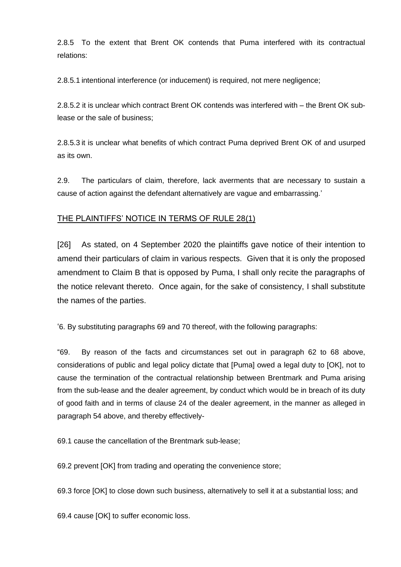2.8.5 To the extent that Brent OK contends that Puma interfered with its contractual relations:

2.8.5.1 intentional interference (or inducement) is required, not mere negligence;

2.8.5.2 it is unclear which contract Brent OK contends was interfered with – the Brent OK sublease or the sale of business;

2.8.5.3 it is unclear what benefits of which contract Puma deprived Brent OK of and usurped as its own.

2.9. The particulars of claim, therefore, lack averments that are necessary to sustain a cause of action against the defendant alternatively are vague and embarrassing.'

#### THE PLAINTIFFS' NOTICE IN TERMS OF RULE 28(1)

[26] As stated, on 4 September 2020 the plaintiffs gave notice of their intention to amend their particulars of claim in various respects. Given that it is only the proposed amendment to Claim B that is opposed by Puma, I shall only recite the paragraphs of the notice relevant thereto. Once again, for the sake of consistency, I shall substitute the names of the parties.

'6. By substituting paragraphs 69 and 70 thereof, with the following paragraphs:

"69. By reason of the facts and circumstances set out in paragraph 62 to 68 above, considerations of public and legal policy dictate that [Puma] owed a legal duty to [OK], not to cause the termination of the contractual relationship between Brentmark and Puma arising from the sub-lease and the dealer agreement, by conduct which would be in breach of its duty of good faith and in terms of clause 24 of the dealer agreement, in the manner as alleged in paragraph 54 above, and thereby effectively-

69.1 cause the cancellation of the Brentmark sub-lease;

69.2 prevent [OK] from trading and operating the convenience store;

69.3 force [OK] to close down such business, alternatively to sell it at a substantial loss; and

69.4 cause [OK] to suffer economic loss.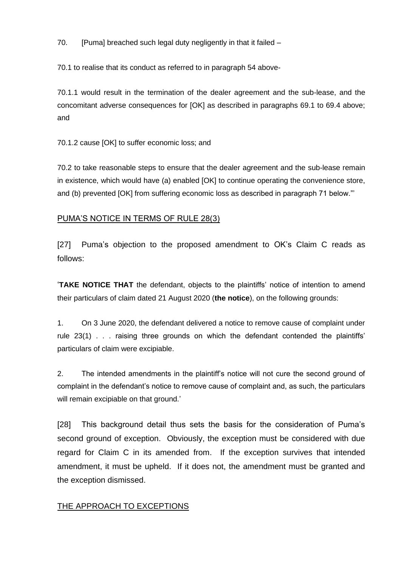70. [Puma] breached such legal duty negligently in that it failed  $-$ 

70.1 to realise that its conduct as referred to in paragraph 54 above-

70.1.1 would result in the termination of the dealer agreement and the sub-lease, and the concomitant adverse consequences for [OK] as described in paragraphs 69.1 to 69.4 above; and

70.1.2 cause [OK] to suffer economic loss; and

70.2 to take reasonable steps to ensure that the dealer agreement and the sub-lease remain in existence, which would have (a) enabled [OK] to continue operating the convenience store, and (b) prevented [OK] from suffering economic loss as described in paragraph 71 below."'

## PUMA'S NOTICE IN TERMS OF RULE 28(3)

[27] Puma's objection to the proposed amendment to OK's Claim C reads as follows:

'**TAKE NOTICE THAT** the defendant, objects to the plaintiffs' notice of intention to amend their particulars of claim dated 21 August 2020 (**the notice**), on the following grounds:

1. On 3 June 2020, the defendant delivered a notice to remove cause of complaint under rule 23(1) . . . raising three grounds on which the defendant contended the plaintiffs' particulars of claim were excipiable.

2. The intended amendments in the plaintiff's notice will not cure the second ground of complaint in the defendant's notice to remove cause of complaint and, as such, the particulars will remain excipiable on that ground.'

[28] This background detail thus sets the basis for the consideration of Puma's second ground of exception. Obviously, the exception must be considered with due regard for Claim C in its amended from. If the exception survives that intended amendment, it must be upheld. If it does not, the amendment must be granted and the exception dismissed.

## **THE APPROACH TO EXCEPTIONS**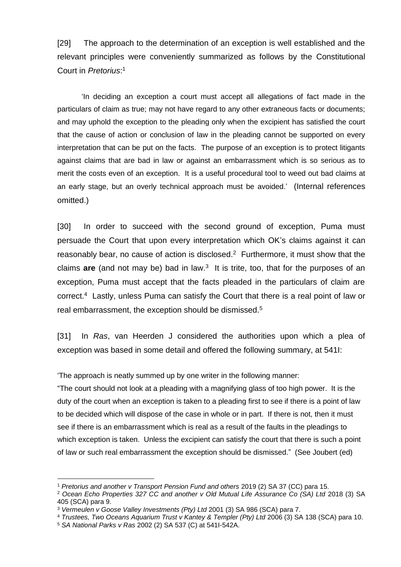[29] The approach to the determination of an exception is well established and the relevant principles were conveniently summarized as follows by the Constitutional Court in *Pretorius*: 1

'In deciding an exception a court must accept all allegations of fact made in the particulars of claim as true; may not have regard to any other extraneous facts or documents; and may uphold the exception to the pleading only when the excipient has satisfied the court that the cause of action or conclusion of law in the pleading cannot be supported on every interpretation that can be put on the facts. The purpose of an exception is to protect litigants against claims that are bad in law or against an embarrassment which is so serious as to merit the costs even of an exception. It is a useful procedural tool to weed out bad claims at an early stage, but an overly technical approach must be avoided.' (Internal references omitted.)

[30] In order to succeed with the second ground of exception, Puma must persuade the Court that upon every interpretation which OK's claims against it can reasonably bear, no cause of action is disclosed. $2$  Furthermore, it must show that the claims are (and not may be) bad in law.<sup>3</sup> It is trite, too, that for the purposes of an exception, Puma must accept that the facts pleaded in the particulars of claim are correct.<sup>4</sup> Lastly, unless Puma can satisfy the Court that there is a real point of law or real embarrassment, the exception should be dismissed.<sup>5</sup>

[31] In *Ras*, van Heerden J considered the authorities upon which a plea of exception was based in some detail and offered the following summary, at 541I:

'The approach is neatly summed up by one writer in the following manner:

"The court should not look at a pleading with a magnifying glass of too high power. It is the duty of the court when an exception is taken to a pleading first to see if there is a point of law to be decided which will dispose of the case in whole or in part. If there is not, then it must see if there is an embarrassment which is real as a result of the faults in the pleadings to which exception is taken. Unless the excipient can satisfy the court that there is such a point of law or such real embarrassment the exception should be dismissed." (See Joubert (ed)

<sup>1</sup> *Pretorius and another v Transport Pension Fund and others* 2019 (2) SA 37 (CC) para 15.

<sup>2</sup> *Ocean Echo Properties 327 CC and another v Old Mutual Life Assurance Co (SA) Ltd* 2018 (3) SA 405 (SCA) para 9.

<sup>3</sup> *Vermeulen v Goose Valley Investments (Pty) Ltd* 2001 (3) SA 986 (SCA) para 7.

<sup>4</sup> *Trustees, Two Oceans Aquarium Trust v Kantey & Templer (Pty) Ltd* 2006 (3) SA 138 (SCA) para 10.

<sup>5</sup> *SA National Parks v Ras* 2002 (2) SA 537 (C) at 541I-542A.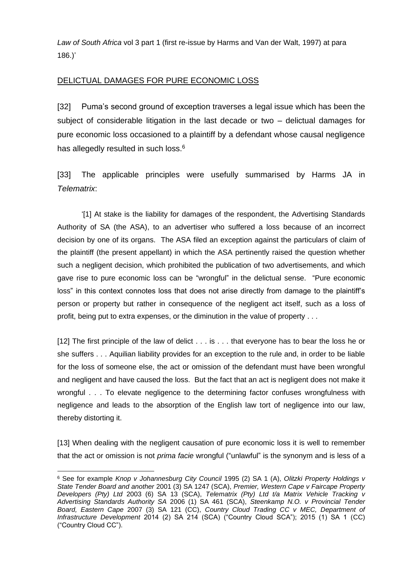*Law of South Africa* vol 3 part 1 (first re-issue by Harms and Van der Walt, 1997) at para 186.)'

## DELICTUAL DAMAGES FOR PURE ECONOMIC LOSS

[32] Puma's second ground of exception traverses a legal issue which has been the subject of considerable litigation in the last decade or two – delictual damages for pure economic loss occasioned to a plaintiff by a defendant whose causal negligence has allegedly resulted in such loss.<sup>6</sup>

[33] The applicable principles were usefully summarised by Harms JA in *Telematrix*:

'[1] At stake is the liability for damages of the respondent, the Advertising Standards Authority of SA (the ASA), to an advertiser who suffered a loss because of an incorrect decision by one of its organs. The ASA filed an exception against the particulars of claim of the plaintiff (the present appellant) in which the ASA pertinently raised the question whether such a negligent decision, which prohibited the publication of two advertisements, and which gave rise to pure economic loss can be "wrongful" in the delictual sense. "Pure economic loss" in this context connotes loss that does not arise directly from damage to the plaintiff's person or property but rather in consequence of the negligent act itself, such as a loss of profit, being put to extra expenses, or the diminution in the value of property . . .

[12] The first principle of the law of delict . . . is . . . that everyone has to bear the loss he or she suffers . . . Aquilian liability provides for an exception to the rule and, in order to be liable for the loss of someone else, the act or omission of the defendant must have been wrongful and negligent and have caused the loss. But the fact that an act is negligent does not make it wrongful . . . To elevate negligence to the determining factor confuses wrongfulness with negligence and leads to the absorption of the English law tort of negligence into our law, thereby distorting it.

[13] When dealing with the negligent causation of pure economic loss it is well to remember that the act or omission is not *prima facie* wrongful ("unlawful" is the synonym and is less of a

<sup>6</sup> See for example *Knop v Johannesburg City Council* 1995 (2) SA 1 (A), *Olitzki Property Holdings v State Tender Board and another* 2001 (3) SA 1247 (SCA), *Premier, Western Cape v Faircape Property Developers (Pty) Ltd* 2003 (6) SA 13 (SCA), *Telematrix (Pty) Ltd t/a Matrix Vehicle Tracking v Advertising Standards Authority SA* 2006 (1) SA 461 (SCA), *Steenkamp N.O. v Provincial Tender Board, Eastern Cape* 2007 (3) SA 121 (CC), *Country Cloud Trading CC v MEC, Department of Infrastructure Development* 2014 (2) SA 214 (SCA) ("Country Cloud SCA"); 2015 (1) SA 1 (CC) ("Country Cloud CC").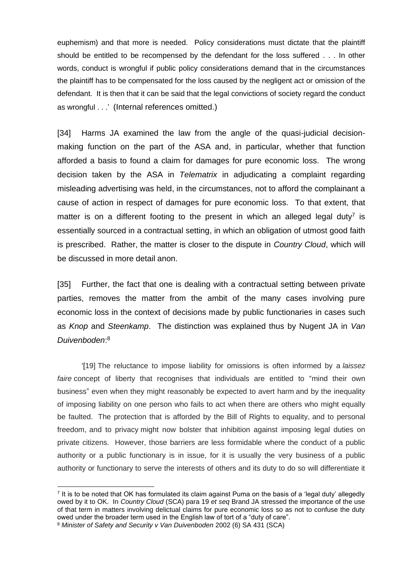euphemism) and that more is needed. Policy considerations must dictate that the plaintiff should be entitled to be recompensed by the defendant for the loss suffered . . . In other words, conduct is wrongful if public policy considerations demand that in the circumstances the plaintiff has to be compensated for the loss caused by the negligent act or omission of the defendant. It is then that it can be said that the legal convictions of society regard the conduct as wrongful . . .' (Internal references omitted.)

[34] Harms JA examined the law from the angle of the quasi-judicial decisionmaking function on the part of the ASA and, in particular, whether that function afforded a basis to found a claim for damages for pure economic loss. The wrong decision taken by the ASA in *Telematrix* in adjudicating a complaint regarding misleading advertising was held, in the circumstances, not to afford the complainant a cause of action in respect of damages for pure economic loss. To that extent, that matter is on a different footing to the present in which an alleged legal duty<sup>7</sup> is essentially sourced in a contractual setting, in which an obligation of utmost good faith is prescribed. Rather, the matter is closer to the dispute in *Country Cloud*, which will be discussed in more detail anon.

[35] Further, the fact that one is dealing with a contractual setting between private parties, removes the matter from the ambit of the many cases involving pure economic loss in the context of decisions made by public functionaries in cases such as *Knop* and *Steenkamp*. The distinction was explained thus by Nugent JA in *Van Duivenboden*: 8

'[19] The reluctance to impose liability for omissions is often informed by a *laissez faire* concept of liberty that recognises that individuals are entitled to "mind their own business" even when they might reasonably be expected to avert harm and by the inequality of imposing liability on one person who fails to act when there are others who might equally be faulted. The protection that is afforded by the Bill of Rights to equality, and to personal freedom, and to privacy might now bolster that inhibition against imposing legal duties on private citizens. However, those barriers are less formidable where the conduct of a public authority or a public functionary is in issue, for it is usually the very business of a public authority or functionary to serve the interests of others and its duty to do so will differentiate it

<sup>7</sup> It is to be noted that OK has formulated its claim against Puma on the basis of a 'legal duty' allegedly owed by it to OK. In *Country Cloud* (SCA) para 19 *et seq* Brand JA stressed the importance of the use of that term in matters involving delictual claims for pure economic loss so as not to confuse the duty owed under the broader term used in the English law of tort of a "duty of care".

<sup>8</sup> *Minister of Safety and Security v Van Duivenboden* 2002 (6) SA 431 (SCA)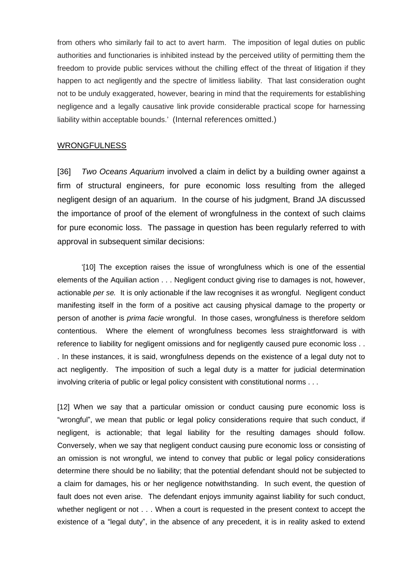from others who similarly fail to act to avert harm. The imposition of legal duties on public authorities and functionaries is inhibited instead by the perceived utility of permitting them the freedom to provide public services without the chilling effect of the threat of litigation if they happen to act negligently and the spectre of limitless liability. That last consideration ought not to be unduly exaggerated, however, bearing in mind that the requirements for establishing negligence and a legally causative link provide considerable practical scope for harnessing liability within acceptable bounds.' (Internal references omitted.)

#### **WRONGFULNESS**

[36] *Two Oceans Aquarium* involved a claim in delict by a building owner against a firm of structural engineers, for pure economic loss resulting from the alleged negligent design of an aquarium. In the course of his judgment, Brand JA discussed the importance of proof of the element of wrongfulness in the context of such claims for pure economic loss. The passage in question has been regularly referred to with approval in subsequent similar decisions:

'[10] The exception raises the issue of wrongfulness which is one of the essential elements of the Aquilian action . . . Negligent conduct giving rise to damages is not, however, actionable *per se.* It is only actionable if the law recognises it as wrongful. Negligent conduct manifesting itself in the form of a positive act causing physical damage to the property or person of another is *prima facie* wrongful. In those cases, wrongfulness is therefore seldom contentious. Where the element of wrongfulness becomes less straightforward is with reference to liability for negligent omissions and for negligently caused pure economic loss . . . In these instances, it is said, wrongfulness depends on the existence of a legal duty not to act negligently. The imposition of such a legal duty is a matter for judicial determination involving criteria of public or legal policy consistent with constitutional norms . . .

[12] When we say that a particular omission or conduct causing pure economic loss is "wrongful", we mean that public or legal policy considerations require that such conduct, if negligent, is actionable; that legal liability for the resulting damages should follow. Conversely, when we say that negligent conduct causing pure economic loss or consisting of an omission is not wrongful, we intend to convey that public or legal policy considerations determine there should be no liability; that the potential defendant should not be subjected to a claim for damages, his or her negligence notwithstanding. In such event, the question of fault does not even arise. The defendant enjoys immunity against liability for such conduct, whether negligent or not . . . When a court is requested in the present context to accept the existence of a "legal duty", in the absence of any precedent, it is in reality asked to extend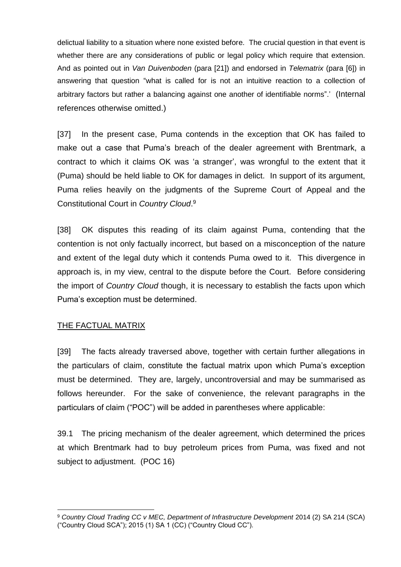delictual liability to a situation where none existed before. The crucial question in that event is whether there are any considerations of public or legal policy which require that extension. And as pointed out in *Van Duivenboden* (para [21]) and endorsed in *Telematrix* (para [6]) in answering that question "what is called for is not an intuitive reaction to a collection of arbitrary factors but rather a balancing against one another of identifiable norms".' (Internal references otherwise omitted.)

[37] In the present case, Puma contends in the exception that OK has failed to make out a case that Puma's breach of the dealer agreement with Brentmark, a contract to which it claims OK was 'a stranger', was wrongful to the extent that it (Puma) should be held liable to OK for damages in delict. In support of its argument, Puma relies heavily on the judgments of the Supreme Court of Appeal and the Constitutional Court in *Country Cloud*. 9

[38] OK disputes this reading of its claim against Puma, contending that the contention is not only factually incorrect, but based on a misconception of the nature and extent of the legal duty which it contends Puma owed to it. This divergence in approach is, in my view, central to the dispute before the Court. Before considering the import of *Country Cloud* though, it is necessary to establish the facts upon which Puma's exception must be determined.

#### THE FACTUAL MATRIX

[39] The facts already traversed above, together with certain further allegations in the particulars of claim, constitute the factual matrix upon which Puma's exception must be determined. They are, largely, uncontroversial and may be summarised as follows hereunder. For the sake of convenience, the relevant paragraphs in the particulars of claim ("POC") will be added in parentheses where applicable:

39.1 The pricing mechanism of the dealer agreement, which determined the prices at which Brentmark had to buy petroleum prices from Puma, was fixed and not subject to adjustment. (POC 16)

<sup>9</sup> *Country Cloud Trading CC v MEC, Department of Infrastructure Development* 2014 (2) SA 214 (SCA) ("Country Cloud SCA"); 2015 (1) SA 1 (CC) ("Country Cloud CC").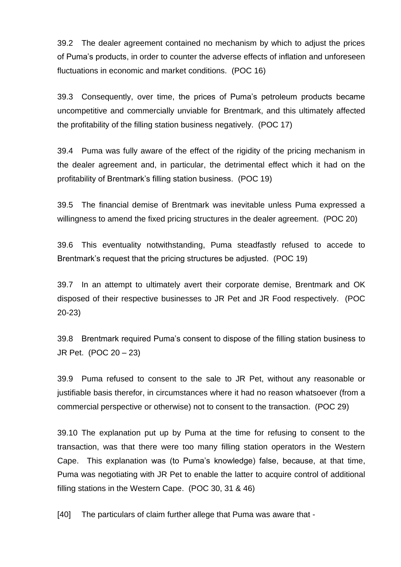39.2 The dealer agreement contained no mechanism by which to adjust the prices of Puma's products, in order to counter the adverse effects of inflation and unforeseen fluctuations in economic and market conditions. (POC 16)

39.3 Consequently, over time, the prices of Puma's petroleum products became uncompetitive and commercially unviable for Brentmark, and this ultimately affected the profitability of the filling station business negatively. (POC 17)

39.4 Puma was fully aware of the effect of the rigidity of the pricing mechanism in the dealer agreement and, in particular, the detrimental effect which it had on the profitability of Brentmark's filling station business. (POC 19)

39.5 The financial demise of Brentmark was inevitable unless Puma expressed a willingness to amend the fixed pricing structures in the dealer agreement. (POC 20)

39.6 This eventuality notwithstanding, Puma steadfastly refused to accede to Brentmark's request that the pricing structures be adjusted. (POC 19)

39.7 In an attempt to ultimately avert their corporate demise, Brentmark and OK disposed of their respective businesses to JR Pet and JR Food respectively. (POC 20-23)

39.8 Brentmark required Puma's consent to dispose of the filling station business to JR Pet. (POC 20 – 23)

39.9 Puma refused to consent to the sale to JR Pet, without any reasonable or justifiable basis therefor, in circumstances where it had no reason whatsoever (from a commercial perspective or otherwise) not to consent to the transaction. (POC 29)

39.10 The explanation put up by Puma at the time for refusing to consent to the transaction, was that there were too many filling station operators in the Western Cape. This explanation was (to Puma's knowledge) false, because, at that time, Puma was negotiating with JR Pet to enable the latter to acquire control of additional filling stations in the Western Cape. (POC 30, 31 & 46)

[40] The particulars of claim further allege that Puma was aware that -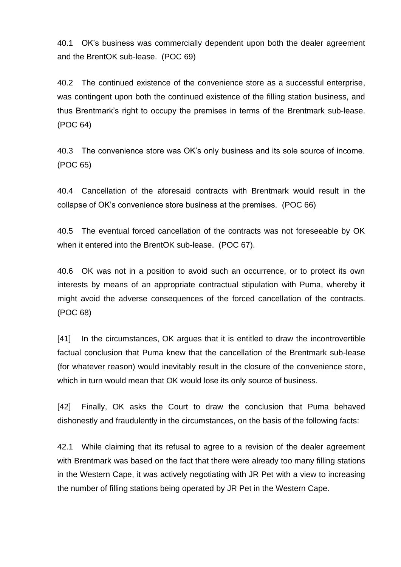40.1 OK's business was commercially dependent upon both the dealer agreement and the BrentOK sub-lease. (POC 69)

40.2 The continued existence of the convenience store as a successful enterprise, was contingent upon both the continued existence of the filling station business, and thus Brentmark's right to occupy the premises in terms of the Brentmark sub-lease. (POC 64)

40.3 The convenience store was OK's only business and its sole source of income. (POC 65)

40.4 Cancellation of the aforesaid contracts with Brentmark would result in the collapse of OK's convenience store business at the premises. (POC 66)

40.5 The eventual forced cancellation of the contracts was not foreseeable by OK when it entered into the BrentOK sub-lease. (POC 67).

40.6 OK was not in a position to avoid such an occurrence, or to protect its own interests by means of an appropriate contractual stipulation with Puma, whereby it might avoid the adverse consequences of the forced cancellation of the contracts. (POC 68)

[41] In the circumstances, OK argues that it is entitled to draw the incontrovertible factual conclusion that Puma knew that the cancellation of the Brentmark sub-lease (for whatever reason) would inevitably result in the closure of the convenience store, which in turn would mean that OK would lose its only source of business.

[42] Finally, OK asks the Court to draw the conclusion that Puma behaved dishonestly and fraudulently in the circumstances, on the basis of the following facts:

42.1 While claiming that its refusal to agree to a revision of the dealer agreement with Brentmark was based on the fact that there were already too many filling stations in the Western Cape, it was actively negotiating with JR Pet with a view to increasing the number of filling stations being operated by JR Pet in the Western Cape.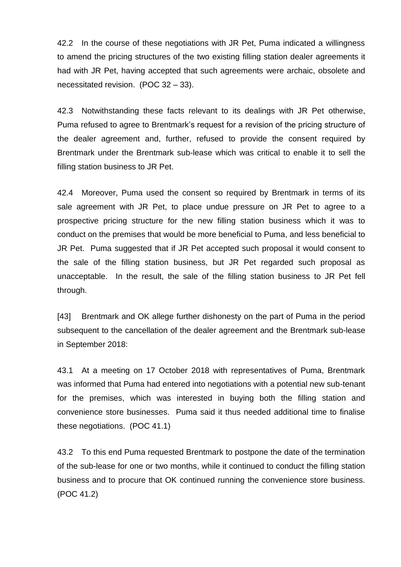42.2 In the course of these negotiations with JR Pet, Puma indicated a willingness to amend the pricing structures of the two existing filling station dealer agreements it had with JR Pet, having accepted that such agreements were archaic, obsolete and necessitated revision. (POC 32 – 33).

42.3 Notwithstanding these facts relevant to its dealings with JR Pet otherwise, Puma refused to agree to Brentmark's request for a revision of the pricing structure of the dealer agreement and, further, refused to provide the consent required by Brentmark under the Brentmark sub-lease which was critical to enable it to sell the filling station business to JR Pet.

42.4 Moreover, Puma used the consent so required by Brentmark in terms of its sale agreement with JR Pet, to place undue pressure on JR Pet to agree to a prospective pricing structure for the new filling station business which it was to conduct on the premises that would be more beneficial to Puma, and less beneficial to JR Pet. Puma suggested that if JR Pet accepted such proposal it would consent to the sale of the filling station business, but JR Pet regarded such proposal as unacceptable. In the result, the sale of the filling station business to JR Pet fell through.

[43] Brentmark and OK allege further dishonesty on the part of Puma in the period subsequent to the cancellation of the dealer agreement and the Brentmark sub-lease in September 2018:

43.1 At a meeting on 17 October 2018 with representatives of Puma, Brentmark was informed that Puma had entered into negotiations with a potential new sub-tenant for the premises, which was interested in buying both the filling station and convenience store businesses. Puma said it thus needed additional time to finalise these negotiations. (POC 41.1)

43.2 To this end Puma requested Brentmark to postpone the date of the termination of the sub-lease for one or two months, while it continued to conduct the filling station business and to procure that OK continued running the convenience store business. (POC 41.2)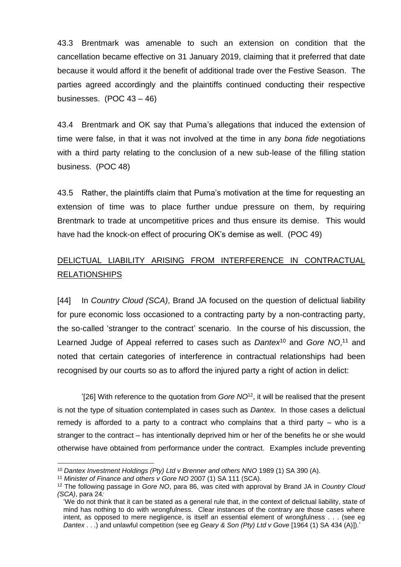43.3 Brentmark was amenable to such an extension on condition that the cancellation became effective on 31 January 2019, claiming that it preferred that date because it would afford it the benefit of additional trade over the Festive Season. The parties agreed accordingly and the plaintiffs continued conducting their respective businesses. (POC 43 – 46)

43.4 Brentmark and OK say that Puma's allegations that induced the extension of time were false, in that it was not involved at the time in any *bona fide* negotiations with a third party relating to the conclusion of a new sub-lease of the filling station business. (POC 48)

43.5 Rather, the plaintiffs claim that Puma's motivation at the time for requesting an extension of time was to place further undue pressure on them, by requiring Brentmark to trade at uncompetitive prices and thus ensure its demise. This would have had the knock-on effect of procuring OK's demise as well. (POC 49)

# DELICTUAL LIABILITY ARISING FROM INTERFERENCE IN CONTRACTUAL RELATIONSHIPS

[44] In *Country Cloud (SCA)*, Brand JA focused on the question of delictual liability for pure economic loss occasioned to a contracting party by a non-contracting party, the so-called 'stranger to the contract' scenario. In the course of his discussion, the Learned Judge of Appeal referred to cases such as *Dantex*<sup>10</sup> and *Gore NO*, <sup>11</sup> and noted that certain categories of interference in contractual relationships had been recognised by our courts so as to afford the injured party a right of action in delict:

'[26] With reference to the quotation from *Gore NO*<sup>12</sup>, it will be realised that the present is not the type of situation contemplated in cases such as *Dantex*. In those cases a delictual remedy is afforded to a party to a contract who complains that a third party – who is a stranger to the contract – has intentionally deprived him or her of the benefits he or she would otherwise have obtained from performance under the contract. Examples include preventing

<sup>10</sup> *Dantex Investment Holdings (Pty) Ltd v Brenner and others NNO* 1989 (1) SA 390 (A).

<sup>11</sup> *Minister of Finance and others v Gore NO* 2007 (1) SA 111 (SCA).

<sup>12</sup> The following passage in *Gore NO*, para 86, was cited with approval by Brand JA in *Country Cloud (SCA)*, para 24*:*

<sup>&#</sup>x27;We do not think that it can be stated as a general rule that, in the context of delictual liability, state of mind has nothing to do with wrongfulness. Clear instances of the contrary are those cases where intent, as opposed to mere negligence, is itself an essential element of wrongfulness . . . (see eg *Dantex* . . .) and unlawful competition (see eg *Geary & Son (Pty) Ltd v Gove* [1964 (1) SA 434 (A)]).'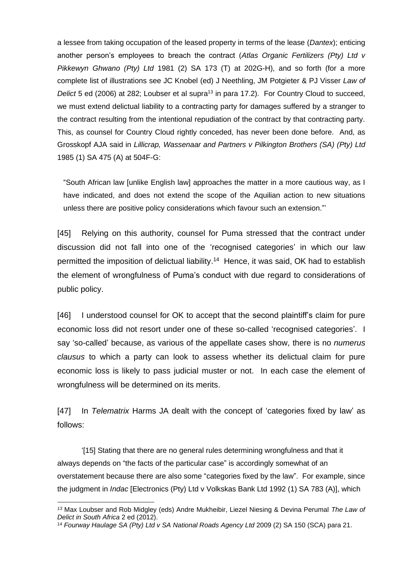a lessee from taking occupation of the leased property in terms of the lease (*Dantex*); enticing another person's employees to breach the contract (*Atlas Organic Fertilizers (Pty) Ltd v Pikkewyn Ghwano (Pty) Ltd* 1981 (2) SA 173 (T) at 202G-H), and so forth (for a more complete list of illustrations see JC Knobel (ed) J Neethling, JM Potgieter & PJ Visser *Law of Delict* 5 ed (2006) at 282; Loubser et al supra<sup>13</sup> in para 17.2). For Country Cloud to succeed, we must extend delictual liability to a contracting party for damages suffered by a stranger to the contract resulting from the intentional repudiation of the contract by that contracting party. This, as counsel for Country Cloud rightly conceded, has never been done before. And, as Grosskopf AJA said in *Lillicrap, Wassenaar and Partners v Pilkington Brothers (SA) (Pty) Ltd* 1985 (1) SA 475 (A) at 504F-G:

"South African law [unlike English law] approaches the matter in a more cautious way, as I have indicated, and does not extend the scope of the Aquilian action to new situations unless there are positive policy considerations which favour such an extension."'

[45] Relying on this authority, counsel for Puma stressed that the contract under discussion did not fall into one of the 'recognised categories' in which our law permitted the imposition of delictual liability. <sup>14</sup> Hence, it was said, OK had to establish the element of wrongfulness of Puma's conduct with due regard to considerations of public policy.

[46] I understood counsel for OK to accept that the second plaintiff's claim for pure economic loss did not resort under one of these so-called 'recognised categories'. I say 'so-called' because, as various of the appellate cases show, there is no *numerus clausus* to which a party can look to assess whether its delictual claim for pure economic loss is likely to pass judicial muster or not. In each case the element of wrongfulness will be determined on its merits.

[47] In *Telematrix* Harms JA dealt with the concept of 'categories fixed by law' as follows:

'[15] Stating that there are no general rules determining wrongfulness and that it always depends on "the facts of the particular case" is accordingly somewhat of an overstatement because there are also some "categories fixed by the law". For example, since the judgment in *Indac* [Electronics (Pty) Ltd v Volkskas Bank Ltd 1992 (1) SA 783 (A)], which

*<sup>13</sup>* Max Loubser and Rob Midgley (eds) Andre Mukheibir, Liezel Niesing & Devina Perumal *The Law of Delict in South Africa* 2 ed (2012).

<sup>14</sup> *Fourway Haulage SA (Pty) Ltd v SA National Roads Agency Ltd* 2009 (2) SA 150 (SCA) para 21.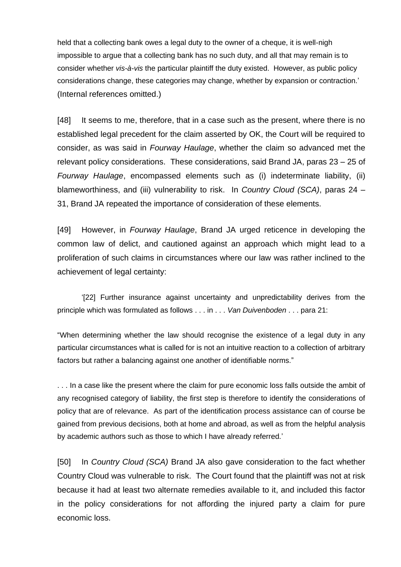held that a collecting bank owes a legal duty to the owner of a cheque, it is well-nigh impossible to argue that a collecting bank has no such duty, and all that may remain is to consider whether *vis-à-vis* the particular plaintiff the duty existed. However, as public policy considerations change, these categories may change, whether by expansion or contraction.' (Internal references omitted.)

[48] It seems to me, therefore, that in a case such as the present, where there is no established legal precedent for the claim asserted by OK, the Court will be required to consider, as was said in *Fourway Haulage*, whether the claim so advanced met the relevant policy considerations. These considerations, said Brand JA, paras 23 – 25 of *Fourway Haulage*, encompassed elements such as (i) indeterminate liability, (ii) blameworthiness, and (iii) vulnerability to risk. In *Country Cloud (SCA)*, paras 24 – 31, Brand JA repeated the importance of consideration of these elements.

[49] However, in *Fourway Haulage*, Brand JA urged reticence in developing the common law of delict, and cautioned against an approach which might lead to a proliferation of such claims in circumstances where our law was rather inclined to the achievement of legal certainty:

'[22] Further insurance against uncertainty and unpredictability derives from the principle which was formulated as follows . . . in . . . *Van Duivenboden* . . . para 21:

"When determining whether the law should recognise the existence of a legal duty in any particular circumstances what is called for is not an intuitive reaction to a collection of arbitrary factors but rather a balancing against one another of identifiable norms."

. . . In a case like the present where the claim for pure economic loss falls outside the ambit of any recognised category of liability, the first step is therefore to identify the considerations of policy that are of relevance. As part of the identification process assistance can of course be gained from previous decisions, both at home and abroad, as well as from the helpful analysis by academic authors such as those to which I have already referred.'

[50] In *Country Cloud (SCA)* Brand JA also gave consideration to the fact whether Country Cloud was vulnerable to risk. The Court found that the plaintiff was not at risk because it had at least two alternate remedies available to it, and included this factor in the policy considerations for not affording the injured party a claim for pure economic loss.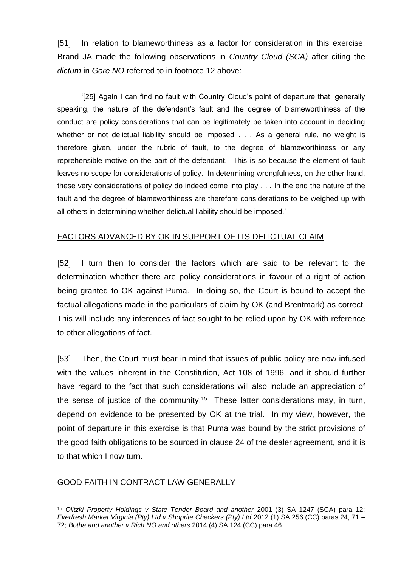[51] In relation to blameworthiness as a factor for consideration in this exercise, Brand JA made the following observations in *Country Cloud (SCA)* after citing the *dictum* in *Gore NO* referred to in footnote 12 above:

'[25] Again I can find no fault with Country Cloud's point of departure that, generally speaking, the nature of the defendant's fault and the degree of blameworthiness of the conduct are policy considerations that can be legitimately be taken into account in deciding whether or not delictual liability should be imposed . . . As a general rule, no weight is therefore given, under the rubric of fault, to the degree of blameworthiness or any reprehensible motive on the part of the defendant. This is so because the element of fault leaves no scope for considerations of policy. In determining wrongfulness, on the other hand, these very considerations of policy do indeed come into play . . . In the end the nature of the fault and the degree of blameworthiness are therefore considerations to be weighed up with all others in determining whether delictual liability should be imposed.'

### FACTORS ADVANCED BY OK IN SUPPORT OF ITS DELICTUAL CLAIM

[52] I turn then to consider the factors which are said to be relevant to the determination whether there are policy considerations in favour of a right of action being granted to OK against Puma. In doing so, the Court is bound to accept the factual allegations made in the particulars of claim by OK (and Brentmark) as correct. This will include any inferences of fact sought to be relied upon by OK with reference to other allegations of fact.

[53] Then, the Court must bear in mind that issues of public policy are now infused with the values inherent in the Constitution, Act 108 of 1996, and it should further have regard to the fact that such considerations will also include an appreciation of the sense of justice of the community.<sup>15</sup> These latter considerations may, in turn, depend on evidence to be presented by OK at the trial. In my view, however, the point of departure in this exercise is that Puma was bound by the strict provisions of the good faith obligations to be sourced in clause 24 of the dealer agreement, and it is to that which I now turn.

#### GOOD FAITH IN CONTRACT LAW GENERALLY

<sup>15</sup> *Olitzki Property Holdings v State Tender Board and another* 2001 (3) SA 1247 (SCA) para 12; *Everfresh Market Virginia (Pty) Ltd v Shoprite Checkers (Pty) Ltd* 2012 (1) SA 256 (CC) paras 24, 71 – 72; *Botha and another v Rich NO and others* 2014 (4) SA 124 (CC) para 46.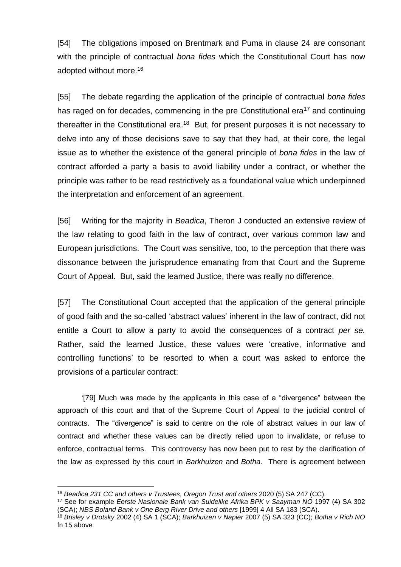[54] The obligations imposed on Brentmark and Puma in clause 24 are consonant with the principle of contractual *bona fides* which the Constitutional Court has now adopted without more.<sup>16</sup>

[55] The debate regarding the application of the principle of contractual *bona fides* has raged on for decades, commencing in the pre Constitutional era<sup>17</sup> and continuing thereafter in the Constitutional era.<sup>18</sup> But, for present purposes it is not necessary to delve into any of those decisions save to say that they had, at their core, the legal issue as to whether the existence of the general principle of *bona fides* in the law of contract afforded a party a basis to avoid liability under a contract, or whether the principle was rather to be read restrictively as a foundational value which underpinned the interpretation and enforcement of an agreement.

[56] Writing for the majority in *Beadica*, Theron J conducted an extensive review of the law relating to good faith in the law of contract, over various common law and European jurisdictions. The Court was sensitive, too, to the perception that there was dissonance between the jurisprudence emanating from that Court and the Supreme Court of Appeal. But, said the learned Justice, there was really no difference.

[57] The Constitutional Court accepted that the application of the general principle of good faith and the so-called 'abstract values' inherent in the law of contract, did not entitle a Court to allow a party to avoid the consequences of a contract *per se.* Rather, said the learned Justice, these values were 'creative, informative and controlling functions' to be resorted to when a court was asked to enforce the provisions of a particular contract:

'[79] Much was made by the applicants in this case of a "divergence" between the approach of this court and that of the Supreme Court of Appeal to the judicial control of contracts. The "divergence" is said to centre on the role of abstract values in our law of contract and whether these values can be directly relied upon to invalidate, or refuse to enforce, contractual terms. This controversy has now been put to rest by the clarification of the law as expressed by this court in *Barkhuizen* and *Botha*. There is agreement between

<sup>16</sup> *Beadica 231 CC and others v Trustees, Oregon Trust and others* 2020 (5) SA 247 (CC).

<sup>17</sup> See for example *Eerste Nasionale Bank van Suidelike Afrika BPK v Saayman NO* 1997 (4) SA 302 (SCA); *NBS Boland Bank v One Berg River Drive and others* [1999] 4 All SA 183 (SCA).

<sup>18</sup> *Brisley v Drotsky* 2002 (4) SA 1 (SCA); *Barkhuizen v Napier* 2007 (5) SA 323 (CC); *Botha v Rich NO* fn 15 above*.*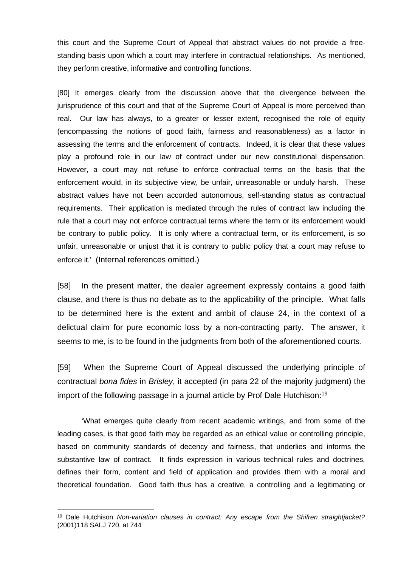this court and the Supreme Court of Appeal that abstract values do not provide a freestanding basis upon which a court may interfere in contractual relationships. As mentioned, they perform creative, informative and controlling functions.

[80] It emerges clearly from the discussion above that the divergence between the jurisprudence of this court and that of the Supreme Court of Appeal is more perceived than real. Our law has always, to a greater or lesser extent, recognised the role of equity (encompassing the notions of good faith, fairness and reasonableness) as a factor in assessing the terms and the enforcement of contracts. Indeed, it is clear that these values play a profound role in our law of contract under our new constitutional dispensation. However, a court may not refuse to enforce contractual terms on the basis that the enforcement would, in its subjective view, be unfair, unreasonable or unduly harsh. These abstract values have not been accorded autonomous, self-standing status as contractual requirements. Their application is mediated through the rules of contract law including the rule that a court may not enforce contractual terms where the term or its enforcement would be contrary to public policy. It is only where a contractual term, or its enforcement, is so unfair, unreasonable or unjust that it is contrary to public policy that a court may refuse to enforce it.' (Internal references omitted.)

[58] In the present matter, the dealer agreement expressly contains a good faith clause, and there is thus no debate as to the applicability of the principle. What falls to be determined here is the extent and ambit of clause 24, in the context of a delictual claim for pure economic loss by a non-contracting party. The answer, it seems to me, is to be found in the judgments from both of the aforementioned courts.

[59] When the Supreme Court of Appeal discussed the underlying principle of contractual *bona fides* in *Brisley*, it accepted (in para 22 of the majority judgment) the import of the following passage in a journal article by Prof Dale Hutchison:<sup>19</sup>

'What emerges quite clearly from recent academic writings, and from some of the leading cases, is that good faith may be regarded as an ethical value or controlling principle, based on community standards of decency and fairness, that underlies and informs the substantive law of contract. It finds expression in various technical rules and doctrines, defines their form, content and field of application and provides them with a moral and theoretical foundation. Good faith thus has a creative, a controlling and a legitimating or

<sup>19</sup> Dale Hutchison *Non-variation clauses in contract: Any escape from the Shifren straightjacket?* (2001)118 SALJ 720, at 744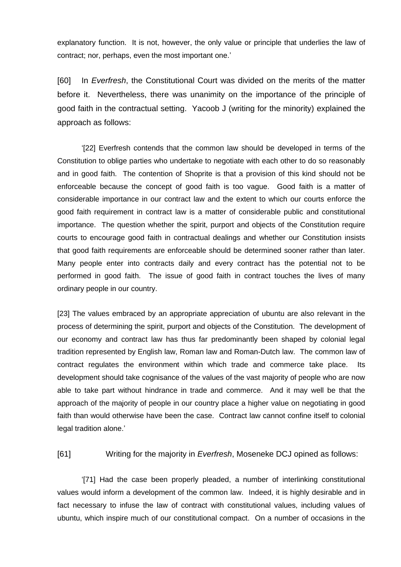explanatory function. It is not, however, the only value or principle that underlies the law of contract; nor, perhaps, even the most important one.'

[60] In *Everfresh*, the Constitutional Court was divided on the merits of the matter before it. Nevertheless, there was unanimity on the importance of the principle of good faith in the contractual setting. Yacoob J (writing for the minority) explained the approach as follows:

'[22] Everfresh contends that the common law should be developed in terms of the Constitution to oblige parties who undertake to negotiate with each other to do so reasonably and in good faith. The contention of Shoprite is that a provision of this kind should not be enforceable because the concept of good faith is too vague. Good faith is a matter of considerable importance in our contract law and the extent to which our courts enforce the good faith requirement in contract law is a matter of considerable public and constitutional importance. The question whether the spirit, purport and objects of the Constitution require courts to encourage good faith in contractual dealings and whether our Constitution insists that good faith requirements are enforceable should be determined sooner rather than later. Many people enter into contracts daily and every contract has the potential not to be performed in good faith. The issue of good faith in contract touches the lives of many ordinary people in our country.

[23] The values embraced by an appropriate appreciation of ubuntu are also relevant in the process of determining the spirit, purport and objects of the Constitution. The development of our economy and contract law has thus far predominantly been shaped by colonial legal tradition represented by English law, Roman law and Roman-Dutch law. The common law of contract regulates the environment within which trade and commerce take place. Its development should take cognisance of the values of the vast majority of people who are now able to take part without hindrance in trade and commerce. And it may well be that the approach of the majority of people in our country place a higher value on negotiating in good faith than would otherwise have been the case. Contract law cannot confine itself to colonial legal tradition alone.'

[61] Writing for the majority in *Everfresh*, Moseneke DCJ opined as follows:

'[71] Had the case been properly pleaded, a number of interlinking constitutional values would inform a development of the common law. Indeed, it is highly desirable and in fact necessary to infuse the law of contract with constitutional values, including values of ubuntu, which inspire much of our constitutional compact. On a number of occasions in the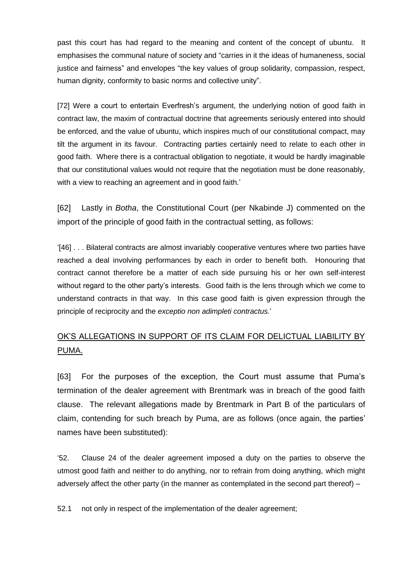past this court has had regard to the meaning and content of the concept of ubuntu. It emphasises the communal nature of society and "carries in it the ideas of humaneness, social justice and fairness" and envelopes "the key values of group solidarity, compassion, respect, human dignity, conformity to basic norms and collective unity".

[72] Were a court to entertain Everfresh's argument, the underlying notion of good faith in contract law, the maxim of contractual doctrine that agreements seriously entered into should be enforced, and the value of ubuntu, which inspires much of our constitutional compact, may tilt the argument in its favour. Contracting parties certainly need to relate to each other in good faith. Where there is a contractual obligation to negotiate, it would be hardly imaginable that our constitutional values would not require that the negotiation must be done reasonably, with a view to reaching an agreement and in good faith.'

[62] Lastly in *Botha*, the Constitutional Court (per Nkabinde J) commented on the import of the principle of good faith in the contractual setting, as follows:

'[46] . . . Bilateral contracts are almost invariably cooperative ventures where two parties have reached a deal involving performances by each in order to benefit both. Honouring that contract cannot therefore be a matter of each side pursuing his or her own self-interest without regard to the other party's interests. Good faith is the lens through which we come to understand contracts in that way. In this case good faith is given expression through the principle of reciprocity and the *exceptio non adimpleti contractus.*'

# OK'S ALLEGATIONS IN SUPPORT OF ITS CLAIM FOR DELICTUAL LIABILITY BY PUMA.

[63] For the purposes of the exception, the Court must assume that Puma's termination of the dealer agreement with Brentmark was in breach of the good faith clause. The relevant allegations made by Brentmark in Part B of the particulars of claim, contending for such breach by Puma, are as follows (once again, the parties' names have been substituted):

'52. Clause 24 of the dealer agreement imposed a duty on the parties to observe the utmost good faith and neither to do anything, nor to refrain from doing anything, which might adversely affect the other party (in the manner as contemplated in the second part thereof) –

52.1 not only in respect of the implementation of the dealer agreement;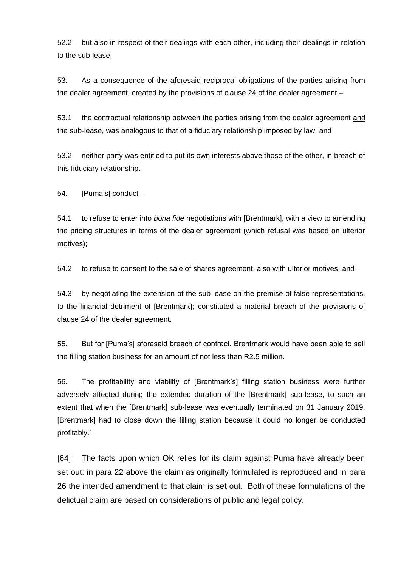52.2 but also in respect of their dealings with each other, including their dealings in relation to the sub-lease.

53. As a consequence of the aforesaid reciprocal obligations of the parties arising from the dealer agreement, created by the provisions of clause 24 of the dealer agreement –

53.1 the contractual relationship between the parties arising from the dealer agreement and the sub-lease, was analogous to that of a fiduciary relationship imposed by law; and

53.2 neither party was entitled to put its own interests above those of the other, in breach of this fiduciary relationship.

54. [Puma's] conduct –

54.1 to refuse to enter into *bona fide* negotiations with [Brentmark], with a view to amending the pricing structures in terms of the dealer agreement (which refusal was based on ulterior motives);

54.2 to refuse to consent to the sale of shares agreement, also with ulterior motives; and

54.3 by negotiating the extension of the sub-lease on the premise of false representations, to the financial detriment of [Brentmark}; constituted a material breach of the provisions of clause 24 of the dealer agreement.

55. But for [Puma's] aforesaid breach of contract, Brentmark would have been able to sell the filling station business for an amount of not less than R2.5 million.

56. The profitability and viability of [Brentmark's] filling station business were further adversely affected during the extended duration of the [Brentmark] sub-lease, to such an extent that when the [Brentmark] sub-lease was eventually terminated on 31 January 2019, [Brentmark] had to close down the filling station because it could no longer be conducted profitably.'

[64] The facts upon which OK relies for its claim against Puma have already been set out: in para 22 above the claim as originally formulated is reproduced and in para 26 the intended amendment to that claim is set out. Both of these formulations of the delictual claim are based on considerations of public and legal policy.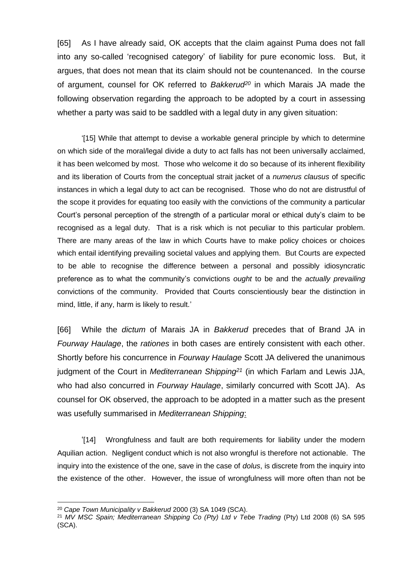[65] As I have already said, OK accepts that the claim against Puma does not fall into any so-called 'recognised category' of liability for pure economic loss. But, it argues, that does not mean that its claim should not be countenanced. In the course of argument, counsel for OK referred to *Bakkerud<sup>20</sup>* in which Marais JA made the following observation regarding the approach to be adopted by a court in assessing whether a party was said to be saddled with a legal duty in any given situation:

'[15] While that attempt to devise a workable general principle by which to determine on which side of the moral/legal divide a duty to act falls has not been universally acclaimed, it has been welcomed by most. Those who welcome it do so because of its inherent flexibility and its liberation of Courts from the conceptual strait jacket of a *numerus clausus* of specific instances in which a legal duty to act can be recognised. Those who do not are distrustful of the scope it provides for equating too easily with the convictions of the community a particular Court's personal perception of the strength of a particular moral or ethical duty's claim to be recognised as a legal duty. That is a risk which is not peculiar to this particular problem. There are many areas of the law in which Courts have to make policy choices or choices which entail identifying prevailing societal values and applying them. But Courts are expected to be able to recognise the difference between a personal and possibly idiosyncratic preference as to what the community's convictions *ought* to be and the *actually prevailing* convictions of the community. Provided that Courts conscientiously bear the distinction in mind, little, if any, harm is likely to result.'

[66] While the *dictum* of Marais JA in *Bakkerud* precedes that of Brand JA in *Fourway Haulage*, the *rationes* in both cases are entirely consistent with each other. Shortly before his concurrence in *Fourway Haulage* Scott JA delivered the unanimous judgment of the Court in *Mediterranean Shipping<sup>21</sup>* (in which Farlam and Lewis JJA, who had also concurred in *Fourway Haulage*, similarly concurred with Scott JA). As counsel for OK observed, the approach to be adopted in a matter such as the present was usefully summarised in *Mediterranean Shipping*:

'[14] Wrongfulness and fault are both requirements for liability under the modern Aquilian action. Negligent conduct which is not also wrongful is therefore not actionable. The inquiry into the existence of the one, save in the case of *dolus*, is discrete from the inquiry into the existence of the other. However, the issue of wrongfulness will more often than not be

<sup>20</sup> *Cape Town Municipality v Bakkerud* 2000 (3) SA 1049 (SCA).

<sup>21</sup> *MV MSC Spain; Mediterranean Shipping Co (Pty) Ltd v Tebe Trading* (Pty) Ltd 2008 (6) SA 595 (SCA).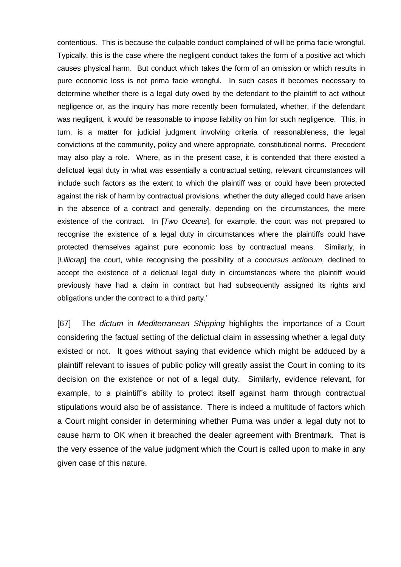contentious. This is because the culpable conduct complained of will be prima facie wrongful. Typically, this is the case where the negligent conduct takes the form of a positive act which causes physical harm. But conduct which takes the form of an omission or which results in pure economic loss is not prima facie wrongful. In such cases it becomes necessary to determine whether there is a legal duty owed by the defendant to the plaintiff to act without negligence or, as the inquiry has more recently been formulated, whether, if the defendant was negligent, it would be reasonable to impose liability on him for such negligence. This, in turn, is a matter for judicial judgment involving criteria of reasonableness, the legal convictions of the community, policy and where appropriate, constitutional norms. Precedent may also play a role. Where, as in the present case, it is contended that there existed a delictual legal duty in what was essentially a contractual setting, relevant circumstances will include such factors as the extent to which the plaintiff was or could have been protected against the risk of harm by contractual provisions, whether the duty alleged could have arisen in the absence of a contract and generally, depending on the circumstances, the mere existence of the contract. In [*Two Oceans*], for example, the court was not prepared to recognise the existence of a legal duty in circumstances where the plaintiffs could have protected themselves against pure economic loss by contractual means. Similarly, in [*Lillicrap*] the court, while recognising the possibility of a *concursus actionum,* declined to accept the existence of a delictual legal duty in circumstances where the plaintiff would previously have had a claim in contract but had subsequently assigned its rights and obligations under the contract to a third party.'

[67] The *dictum* in *Mediterranean Shipping* highlights the importance of a Court considering the factual setting of the delictual claim in assessing whether a legal duty existed or not. It goes without saying that evidence which might be adduced by a plaintiff relevant to issues of public policy will greatly assist the Court in coming to its decision on the existence or not of a legal duty. Similarly, evidence relevant, for example, to a plaintiff's ability to protect itself against harm through contractual stipulations would also be of assistance. There is indeed a multitude of factors which a Court might consider in determining whether Puma was under a legal duty not to cause harm to OK when it breached the dealer agreement with Brentmark. That is the very essence of the value judgment which the Court is called upon to make in any given case of this nature.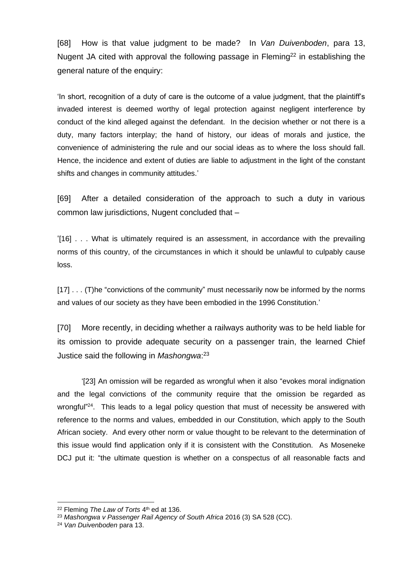[68] How is that value judgment to be made? In *Van Duivenboden*, para 13, Nugent JA cited with approval the following passage in Fleming<sup>22</sup> in establishing the general nature of the enquiry:

'In short, recognition of a duty of care is the outcome of a value judgment, that the plaintiff's invaded interest is deemed worthy of legal protection against negligent interference by conduct of the kind alleged against the defendant. In the decision whether or not there is a duty, many factors interplay; the hand of history, our ideas of morals and justice, the convenience of administering the rule and our social ideas as to where the loss should fall. Hence, the incidence and extent of duties are liable to adjustment in the light of the constant shifts and changes in community attitudes.'

[69] After a detailed consideration of the approach to such a duty in various common law jurisdictions, Nugent concluded that –

'[16] . . . What is ultimately required is an assessment, in accordance with the prevailing norms of this country, of the circumstances in which it should be unlawful to culpably cause loss.

[17] . . . (T)he "convictions of the community" must necessarily now be informed by the norms and values of our society as they have been embodied in the 1996 Constitution.'

[70] More recently, in deciding whether a railways authority was to be held liable for its omission to provide adequate security on a passenger train, the learned Chief Justice said the following in *Mashongwa*: 23

'[23] An omission will be regarded as wrongful when it also "evokes moral indignation and the legal convictions of the community require that the omission be regarded as wrongful"<sup>24</sup>. This leads to a legal policy question that must of necessity be answered with reference to the norms and values, embedded in our Constitution, which apply to the South African society. And every other norm or value thought to be relevant to the determination of this issue would find application only if it is consistent with the Constitution. As Moseneke DCJ put it: "the ultimate question is whether on a conspectus of all reasonable facts and

<sup>&</sup>lt;sup>22</sup> Fleming *The Law of Torts* 4<sup>th</sup> ed at 136.

<sup>23</sup> *Mashongwa v Passenger Rail Agency of South Africa* 2016 (3) SA 528 (CC).

<sup>24</sup> *Van Duivenboden* para 13.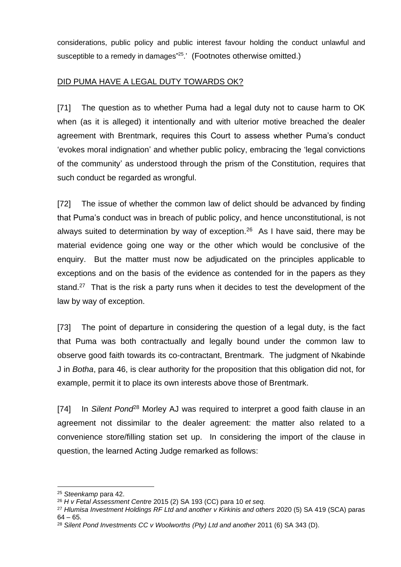considerations, public policy and public interest favour holding the conduct unlawful and susceptible to a remedy in damages"<sup>25</sup>.' (Footnotes otherwise omitted.)

## DID PUMA HAVE A LEGAL DUTY TOWARDS OK?

[71] The question as to whether Puma had a legal duty not to cause harm to OK when (as it is alleged) it intentionally and with ulterior motive breached the dealer agreement with Brentmark, requires this Court to assess whether Puma's conduct 'evokes moral indignation' and whether public policy, embracing the 'legal convictions of the community' as understood through the prism of the Constitution, requires that such conduct be regarded as wrongful.

[72] The issue of whether the common law of delict should be advanced by finding that Puma's conduct was in breach of public policy, and hence unconstitutional, is not always suited to determination by way of exception.<sup>26</sup> As I have said, there may be material evidence going one way or the other which would be conclusive of the enquiry. But the matter must now be adjudicated on the principles applicable to exceptions and on the basis of the evidence as contended for in the papers as they stand.<sup>27</sup> That is the risk a party runs when it decides to test the development of the law by way of exception.

[73] The point of departure in considering the question of a legal duty, is the fact that Puma was both contractually and legally bound under the common law to observe good faith towards its co-contractant, Brentmark. The judgment of Nkabinde J in *Botha*, para 46, is clear authority for the proposition that this obligation did not, for example, permit it to place its own interests above those of Brentmark.

[74] In *Silent Pond*<sup>28</sup> Morley AJ was required to interpret a good faith clause in an agreement not dissimilar to the dealer agreement: the matter also related to a convenience store/filling station set up. In considering the import of the clause in question, the learned Acting Judge remarked as follows:

<sup>25</sup> *Steenkamp* para 42.

<sup>26</sup> *H v Fetal Assessment Centre* 2015 (2) SA 193 (CC) para 10 *et seq.*

<sup>27</sup> *Hlumisa Investment Holdings RF Ltd and another v Kirkinis and others* 2020 (5) SA 419 (SCA) paras  $64 - 65.$ 

<sup>28</sup> *Silent Pond Investments CC v Woolworths (Pty) Ltd and another* 2011 (6) SA 343 (D).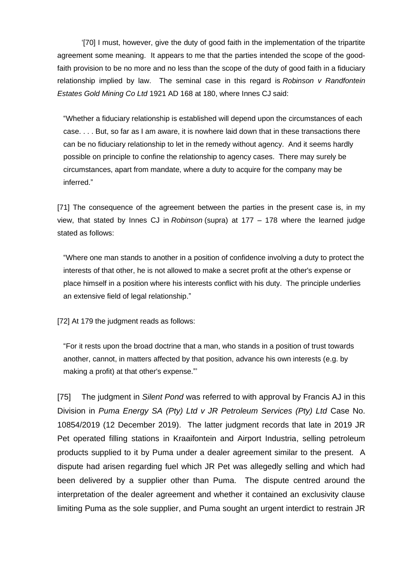'[70] I must, however, give the duty of good faith in the implementation of the tripartite agreement some meaning. It appears to me that the parties intended the scope of the goodfaith provision to be no more and no less than the scope of the duty of good faith in a fiduciary relationship implied by law. The seminal case in this regard is *Robinson v Randfontein Estates Gold Mining Co Ltd* 1921 AD 168 at 180, where Innes CJ said:

"Whether a fiduciary relationship is established will depend upon the circumstances of each case. . . . But, so far as I am aware, it is nowhere laid down that in these transactions there can be no fiduciary relationship to let in the remedy without agency. And it seems hardly possible on principle to confine the relationship to agency cases. There may surely be circumstances, apart from mandate, where a duty to acquire for the company may be inferred."

[71] The consequence of the agreement between the parties in the present case is, in my view, that stated by Innes CJ in *Robinson* (supra) at 177 – 178 where the learned judge stated as follows:

"Where one man stands to another in a position of confidence involving a duty to protect the interests of that other, he is not allowed to make a secret profit at the other's expense or place himself in a position where his interests conflict with his duty. The principle underlies an extensive field of legal relationship."

[72] At 179 the judgment reads as follows:

"For it rests upon the broad doctrine that a man, who stands in a position of trust towards another, cannot, in matters affected by that position, advance his own interests (e.g. by making a profit) at that other's expense."'

[75] The judgment in *Silent Pond* was referred to with approval by Francis AJ in this Division in *Puma Energy SA (Pty) Ltd v JR Petroleum Services (Pty) Ltd* Case No. 10854/2019 (12 December 2019). The latter judgment records that late in 2019 JR Pet operated filling stations in Kraaifontein and Airport Industria, selling petroleum products supplied to it by Puma under a dealer agreement similar to the present. A dispute had arisen regarding fuel which JR Pet was allegedly selling and which had been delivered by a supplier other than Puma. The dispute centred around the interpretation of the dealer agreement and whether it contained an exclusivity clause limiting Puma as the sole supplier, and Puma sought an urgent interdict to restrain JR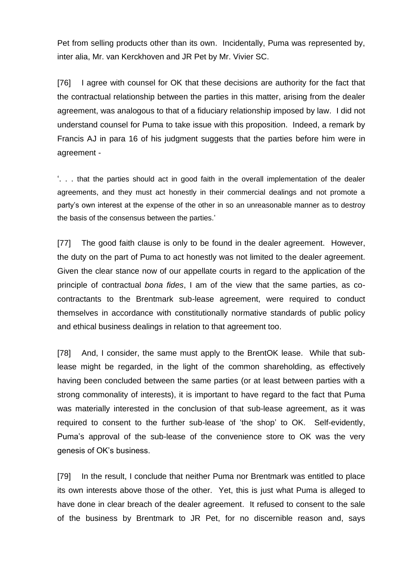Pet from selling products other than its own. Incidentally, Puma was represented by, inter alia, Mr. van Kerckhoven and JR Pet by Mr. Vivier SC.

[76] I agree with counsel for OK that these decisions are authority for the fact that the contractual relationship between the parties in this matter, arising from the dealer agreement, was analogous to that of a fiduciary relationship imposed by law. I did not understand counsel for Puma to take issue with this proposition. Indeed, a remark by Francis AJ in para 16 of his judgment suggests that the parties before him were in agreement -

'. . . that the parties should act in good faith in the overall implementation of the dealer agreements, and they must act honestly in their commercial dealings and not promote a party's own interest at the expense of the other in so an unreasonable manner as to destroy the basis of the consensus between the parties.'

[77] The good faith clause is only to be found in the dealer agreement. However, the duty on the part of Puma to act honestly was not limited to the dealer agreement. Given the clear stance now of our appellate courts in regard to the application of the principle of contractual *bona fides*, I am of the view that the same parties, as cocontractants to the Brentmark sub-lease agreement, were required to conduct themselves in accordance with constitutionally normative standards of public policy and ethical business dealings in relation to that agreement too.

[78] And, I consider, the same must apply to the BrentOK lease. While that sublease might be regarded, in the light of the common shareholding, as effectively having been concluded between the same parties (or at least between parties with a strong commonality of interests), it is important to have regard to the fact that Puma was materially interested in the conclusion of that sub-lease agreement, as it was required to consent to the further sub-lease of 'the shop' to OK. Self-evidently, Puma's approval of the sub-lease of the convenience store to OK was the very genesis of OK's business.

[79] In the result, I conclude that neither Puma nor Brentmark was entitled to place its own interests above those of the other. Yet, this is just what Puma is alleged to have done in clear breach of the dealer agreement. It refused to consent to the sale of the business by Brentmark to JR Pet, for no discernible reason and, says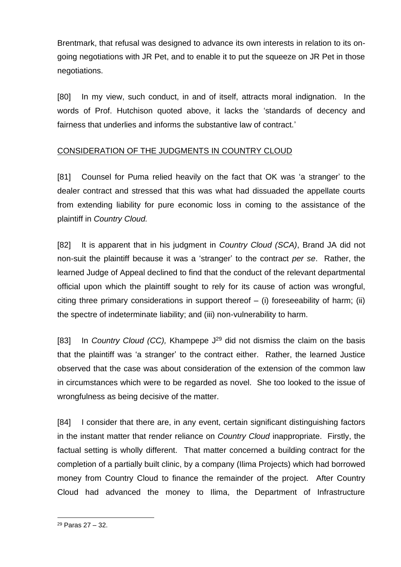Brentmark, that refusal was designed to advance its own interests in relation to its ongoing negotiations with JR Pet, and to enable it to put the squeeze on JR Pet in those negotiations.

[80] In my view, such conduct, in and of itself, attracts moral indignation. In the words of Prof. Hutchison quoted above, it lacks the 'standards of decency and fairness that underlies and informs the substantive law of contract.'

## CONSIDERATION OF THE JUDGMENTS IN COUNTRY CLOUD

[81] Counsel for Puma relied heavily on the fact that OK was 'a stranger' to the dealer contract and stressed that this was what had dissuaded the appellate courts from extending liability for pure economic loss in coming to the assistance of the plaintiff in *Country Cloud.*

[82] It is apparent that in his judgment in *Country Cloud (SCA)*, Brand JA did not non-suit the plaintiff because it was a 'stranger' to the contract *per se*. Rather, the learned Judge of Appeal declined to find that the conduct of the relevant departmental official upon which the plaintiff sought to rely for its cause of action was wrongful, citing three primary considerations in support thereof – (i) foreseeability of harm; (ii) the spectre of indeterminate liability; and (iii) non-vulnerability to harm.

[83] In *Country Cloud (CC)*, Khampepe J<sup>29</sup> did not dismiss the claim on the basis that the plaintiff was 'a stranger' to the contract either. Rather, the learned Justice observed that the case was about consideration of the extension of the common law in circumstances which were to be regarded as novel. She too looked to the issue of wrongfulness as being decisive of the matter.

[84] I consider that there are, in any event, certain significant distinguishing factors in the instant matter that render reliance on *Country Cloud* inappropriate. Firstly, the factual setting is wholly different. That matter concerned a building contract for the completion of a partially built clinic, by a company (Ilima Projects) which had borrowed money from Country Cloud to finance the remainder of the project. After Country Cloud had advanced the money to Ilima, the Department of Infrastructure

<sup>29</sup> Paras 27 – 32.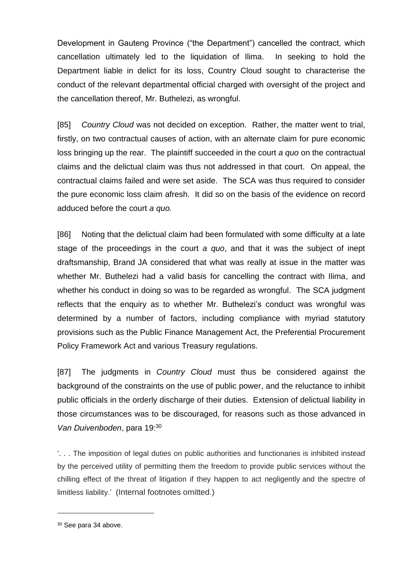Development in Gauteng Province ("the Department") cancelled the contract, which cancellation ultimately led to the liquidation of Ilima. In seeking to hold the Department liable in delict for its loss, Country Cloud sought to characterise the conduct of the relevant departmental official charged with oversight of the project and the cancellation thereof, Mr. Buthelezi, as wrongful.

[85] *Country Cloud* was not decided on exception. Rather, the matter went to trial, firstly, on two contractual causes of action, with an alternate claim for pure economic loss bringing up the rear. The plaintiff succeeded in the court *a quo* on the contractual claims and the delictual claim was thus not addressed in that court. On appeal, the contractual claims failed and were set aside. The SCA was thus required to consider the pure economic loss claim afresh. It did so on the basis of the evidence on record adduced before the court *a quo.*

[86] Noting that the delictual claim had been formulated with some difficulty at a late stage of the proceedings in the court *a quo*, and that it was the subject of inept draftsmanship, Brand JA considered that what was really at issue in the matter was whether Mr. Buthelezi had a valid basis for cancelling the contract with Ilima, and whether his conduct in doing so was to be regarded as wrongful. The SCA judgment reflects that the enquiry as to whether Mr. Buthelezi's conduct was wrongful was determined by a number of factors, including compliance with myriad statutory provisions such as the Public Finance Management Act, the Preferential Procurement Policy Framework Act and various Treasury regulations.

[87] The judgments in *Country Cloud* must thus be considered against the background of the constraints on the use of public power, and the reluctance to inhibit public officials in the orderly discharge of their duties. Extension of delictual liability in those circumstances was to be discouraged, for reasons such as those advanced in *Van Duivenboden*, para 19: 30

'. . . The imposition of legal duties on public authorities and functionaries is inhibited instead by the perceived utility of permitting them the freedom to provide public services without the chilling effect of the threat of litigation if they happen to act negligently and the spectre of limitless liability.' (Internal footnotes omitted.)

<sup>30</sup> See para 34 above.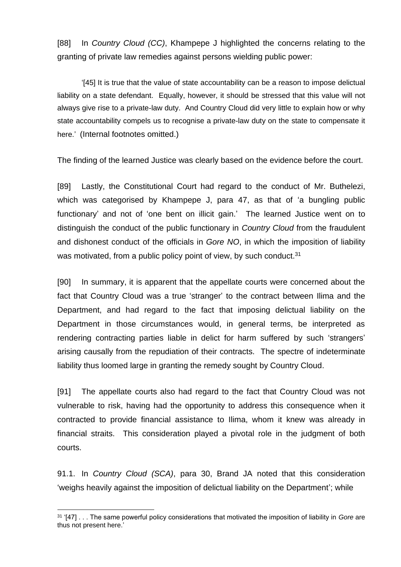[88] In *Country Cloud (CC)*, Khampepe J highlighted the concerns relating to the granting of private law remedies against persons wielding public power:

'[45] It is true that the value of state accountability can be a reason to impose delictual liability on a state defendant. Equally, however, it should be stressed that this value will not always give rise to a private-law duty. And Country Cloud did very little to explain how or why state accountability compels us to recognise a private-law duty on the state to compensate it here.' (Internal footnotes omitted.)

The finding of the learned Justice was clearly based on the evidence before the court.

[89] Lastly, the Constitutional Court had regard to the conduct of Mr. Buthelezi, which was categorised by Khampepe J, para 47, as that of 'a bungling public functionary' and not of 'one bent on illicit gain.' The learned Justice went on to distinguish the conduct of the public functionary in *Country Cloud* from the fraudulent and dishonest conduct of the officials in *Gore NO*, in which the imposition of liability was motivated, from a public policy point of view, by such conduct.<sup>31</sup>

[90] In summary, it is apparent that the appellate courts were concerned about the fact that Country Cloud was a true 'stranger' to the contract between Ilima and the Department, and had regard to the fact that imposing delictual liability on the Department in those circumstances would, in general terms, be interpreted as rendering contracting parties liable in delict for harm suffered by such 'strangers' arising causally from the repudiation of their contracts. The spectre of indeterminate liability thus loomed large in granting the remedy sought by Country Cloud.

[91] The appellate courts also had regard to the fact that Country Cloud was not vulnerable to risk, having had the opportunity to address this consequence when it contracted to provide financial assistance to Ilima, whom it knew was already in financial straits. This consideration played a pivotal role in the judgment of both courts.

91.1. In *Country Cloud (SCA)*, para 30, Brand JA noted that this consideration 'weighs heavily against the imposition of delictual liability on the Department'; while

<sup>31</sup> '[47] . . . The same powerful policy considerations that motivated the imposition of liability in *Gore* are thus not present here.'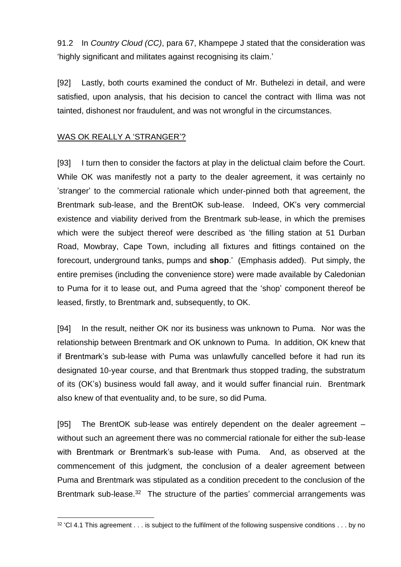91.2 In *Country Cloud (CC)*, para 67, Khampepe J stated that the consideration was 'highly significant and militates against recognising its claim.'

[92] Lastly, both courts examined the conduct of Mr. Buthelezi in detail, and were satisfied, upon analysis, that his decision to cancel the contract with Ilima was not tainted, dishonest nor fraudulent, and was not wrongful in the circumstances.

### WAS OK REALLY A 'STRANGER'?

[93] I turn then to consider the factors at play in the delictual claim before the Court. While OK was manifestly not a party to the dealer agreement, it was certainly no 'stranger' to the commercial rationale which under-pinned both that agreement, the Brentmark sub-lease, and the BrentOK sub-lease. Indeed, OK's very commercial existence and viability derived from the Brentmark sub-lease, in which the premises which were the subject thereof were described as 'the filling station at 51 Durban Road, Mowbray, Cape Town, including all fixtures and fittings contained on the forecourt, underground tanks, pumps and **shop**.' (Emphasis added). Put simply, the entire premises (including the convenience store) were made available by Caledonian to Puma for it to lease out, and Puma agreed that the 'shop' component thereof be leased, firstly, to Brentmark and, subsequently, to OK.

[94] In the result, neither OK nor its business was unknown to Puma. Nor was the relationship between Brentmark and OK unknown to Puma. In addition, OK knew that if Brentmark's sub-lease with Puma was unlawfully cancelled before it had run its designated 10-year course, and that Brentmark thus stopped trading, the substratum of its (OK's) business would fall away, and it would suffer financial ruin. Brentmark also knew of that eventuality and, to be sure, so did Puma.

[95] The BrentOK sub-lease was entirely dependent on the dealer agreement – without such an agreement there was no commercial rationale for either the sub-lease with Brentmark or Brentmark's sub-lease with Puma. And, as observed at the commencement of this judgment, the conclusion of a dealer agreement between Puma and Brentmark was stipulated as a condition precedent to the conclusion of the Brentmark sub-lease.<sup>32</sup> The structure of the parties' commercial arrangements was

 $32$  'Cl 4.1 This agreement  $\dots$  is subject to the fulfilment of the following suspensive conditions  $\dots$  by no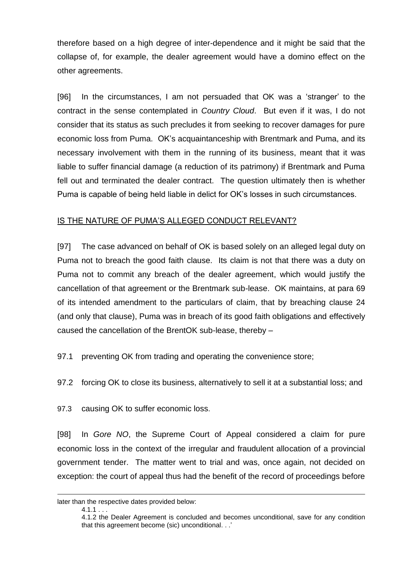therefore based on a high degree of inter-dependence and it might be said that the collapse of, for example, the dealer agreement would have a domino effect on the other agreements.

[96] In the circumstances, I am not persuaded that OK was a 'stranger' to the contract in the sense contemplated in *Country Cloud*. But even if it was, I do not consider that its status as such precludes it from seeking to recover damages for pure economic loss from Puma. OK's acquaintanceship with Brentmark and Puma, and its necessary involvement with them in the running of its business, meant that it was liable to suffer financial damage (a reduction of its patrimony) if Brentmark and Puma fell out and terminated the dealer contract. The question ultimately then is whether Puma is capable of being held liable in delict for OK's losses in such circumstances.

## IS THE NATURE OF PUMA'S ALLEGED CONDUCT RELEVANT?

[97] The case advanced on behalf of OK is based solely on an alleged legal duty on Puma not to breach the good faith clause. Its claim is not that there was a duty on Puma not to commit any breach of the dealer agreement, which would justify the cancellation of that agreement or the Brentmark sub-lease. OK maintains, at para 69 of its intended amendment to the particulars of claim, that by breaching clause 24 (and only that clause), Puma was in breach of its good faith obligations and effectively caused the cancellation of the BrentOK sub-lease, thereby –

97.1 preventing OK from trading and operating the convenience store;

97.2 forcing OK to close its business, alternatively to sell it at a substantial loss; and

97.3 causing OK to suffer economic loss.

[98] In *Gore NO*, the Supreme Court of Appeal considered a claim for pure economic loss in the context of the irregular and fraudulent allocation of a provincial government tender. The matter went to trial and was, once again, not decided on exception: the court of appeal thus had the benefit of the record of proceedings before

later than the respective dates provided below:

 $4.1.1...$ 

<sup>4.1.2</sup> the Dealer Agreement is concluded and becomes unconditional, save for any condition that this agreement become (sic) unconditional. . .'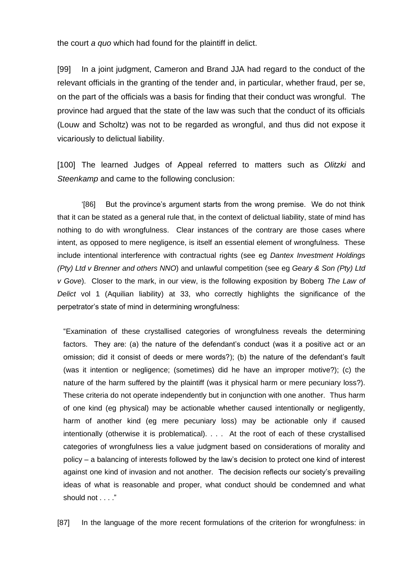the court *a quo* which had found for the plaintiff in delict.

[99] In a joint judgment, Cameron and Brand JJA had regard to the conduct of the relevant officials in the granting of the tender and, in particular, whether fraud, per se, on the part of the officials was a basis for finding that their conduct was wrongful. The province had argued that the state of the law was such that the conduct of its officials (Louw and Scholtz) was not to be regarded as wrongful, and thus did not expose it vicariously to delictual liability.

[100] The learned Judges of Appeal referred to matters such as *Olitzki* and *Steenkamp* and came to the following conclusion:

'[86] But the province's argument starts from the wrong premise. We do not think that it can be stated as a general rule that, in the context of delictual liability, state of mind has nothing to do with wrongfulness. Clear instances of the contrary are those cases where intent, as opposed to mere negligence, is itself an essential element of wrongfulness. These include intentional interference with contractual rights (see eg *Dantex Investment Holdings (Pty) Ltd v Brenner and others NNO*) and unlawful competition (see eg *Geary & Son (Pty) Ltd v Gove*). Closer to the mark, in our view, is the following exposition by Boberg *The Law of Delict* vol 1 (Aquilian liability) at 33, who correctly highlights the significance of the perpetrator's state of mind in determining wrongfulness:

"Examination of these crystallised categories of wrongfulness reveals the determining factors. They are: (a) the nature of the defendant's conduct (was it a positive act or an omission; did it consist of deeds or mere words?); (b) the nature of the defendant's fault (was it intention or negligence; (sometimes) did he have an improper motive?); (c) the nature of the harm suffered by the plaintiff (was it physical harm or mere pecuniary loss?). These criteria do not operate independently but in conjunction with one another. Thus harm of one kind (eg physical) may be actionable whether caused intentionally or negligently, harm of another kind (eg mere pecuniary loss) may be actionable only if caused intentionally (otherwise it is problematical). . . . At the root of each of these crystallised categories of wrongfulness lies a value judgment based on considerations of morality and policy – a balancing of interests followed by the law's decision to protect one kind of interest against one kind of invasion and not another. The decision reflects our society's prevailing ideas of what is reasonable and proper, what conduct should be condemned and what should not . . . ."

[87] In the language of the more recent formulations of the criterion for wrongfulness: in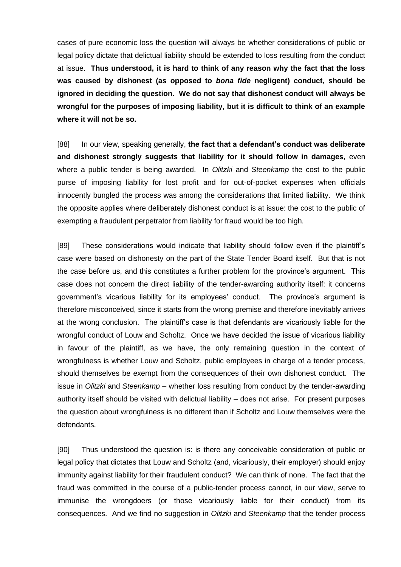cases of pure economic loss the question will always be whether considerations of public or legal policy dictate that delictual liability should be extended to loss resulting from the conduct at issue. **Thus understood, it is hard to think of any reason why the fact that the loss was caused by dishonest (as opposed to** *bona fide* **negligent) conduct, should be ignored in deciding the question. We do not say that dishonest conduct will always be wrongful for the purposes of imposing liability, but it is difficult to think of an example where it will not be so.**

[88] In our view, speaking generally, **the fact that a defendant's conduct was deliberate and dishonest strongly suggests that liability for it should follow in damages,** even where a public tender is being awarded. In *Olitzki* and *Steenkamp* the cost to the public purse of imposing liability for lost profit and for out-of-pocket expenses when officials innocently bungled the process was among the considerations that limited liability. We think the opposite applies where deliberately dishonest conduct is at issue: the cost to the public of exempting a fraudulent perpetrator from liability for fraud would be too high.

[89] These considerations would indicate that liability should follow even if the plaintiff's case were based on dishonesty on the part of the State Tender Board itself. But that is not the case before us, and this constitutes a further problem for the province's argument. This case does not concern the direct liability of the tender-awarding authority itself: it concerns government's vicarious liability for its employees' conduct. The province's argument is therefore misconceived, since it starts from the wrong premise and therefore inevitably arrives at the wrong conclusion. The plaintiff's case is that defendants are vicariously liable for the wrongful conduct of Louw and Scholtz. Once we have decided the issue of vicarious liability in favour of the plaintiff, as we have, the only remaining question in the context of wrongfulness is whether Louw and Scholtz, public employees in charge of a tender process, should themselves be exempt from the consequences of their own dishonest conduct. The issue in *Olitzki* and *Steenkamp* – whether loss resulting from conduct by the tender-awarding authority itself should be visited with delictual liability – does not arise. For present purposes the question about wrongfulness is no different than if Scholtz and Louw themselves were the defendants.

[90] Thus understood the question is: is there any conceivable consideration of public or legal policy that dictates that Louw and Scholtz (and, vicariously, their employer) should enjoy immunity against liability for their fraudulent conduct? We can think of none. The fact that the fraud was committed in the course of a public-tender process cannot, in our view, serve to immunise the wrongdoers (or those vicariously liable for their conduct) from its consequences. And we find no suggestion in *Olitzki* and *Steenkamp* that the tender process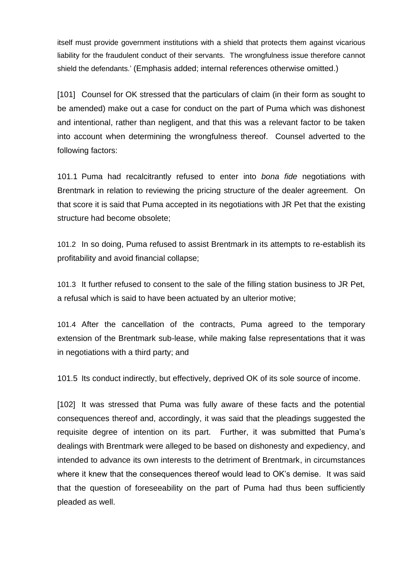itself must provide government institutions with a shield that protects them against vicarious liability for the fraudulent conduct of their servants. The wrongfulness issue therefore cannot shield the defendants.' (Emphasis added; internal references otherwise omitted.)

[101] Counsel for OK stressed that the particulars of claim (in their form as sought to be amended) make out a case for conduct on the part of Puma which was dishonest and intentional, rather than negligent, and that this was a relevant factor to be taken into account when determining the wrongfulness thereof. Counsel adverted to the following factors:

101.1 Puma had recalcitrantly refused to enter into *bona fide* negotiations with Brentmark in relation to reviewing the pricing structure of the dealer agreement. On that score it is said that Puma accepted in its negotiations with JR Pet that the existing structure had become obsolete;

101.2 In so doing, Puma refused to assist Brentmark in its attempts to re-establish its profitability and avoid financial collapse;

101.3 It further refused to consent to the sale of the filling station business to JR Pet, a refusal which is said to have been actuated by an ulterior motive;

101.4 After the cancellation of the contracts, Puma agreed to the temporary extension of the Brentmark sub-lease, while making false representations that it was in negotiations with a third party; and

101.5 Its conduct indirectly, but effectively, deprived OK of its sole source of income.

[102] It was stressed that Puma was fully aware of these facts and the potential consequences thereof and, accordingly, it was said that the pleadings suggested the requisite degree of intention on its part. Further, it was submitted that Puma's dealings with Brentmark were alleged to be based on dishonesty and expediency, and intended to advance its own interests to the detriment of Brentmark, in circumstances where it knew that the consequences thereof would lead to OK's demise. It was said that the question of foreseeability on the part of Puma had thus been sufficiently pleaded as well.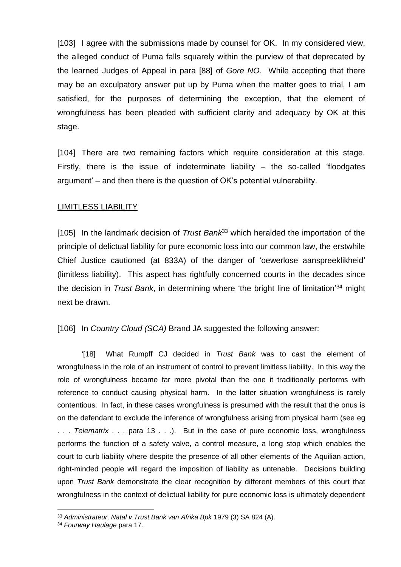[103] I agree with the submissions made by counsel for OK. In my considered view, the alleged conduct of Puma falls squarely within the purview of that deprecated by the learned Judges of Appeal in para [88] of *Gore NO*. While accepting that there may be an exculpatory answer put up by Puma when the matter goes to trial, I am satisfied, for the purposes of determining the exception, that the element of wrongfulness has been pleaded with sufficient clarity and adequacy by OK at this stage.

[104] There are two remaining factors which require consideration at this stage. Firstly, there is the issue of indeterminate liability  $-$  the so-called 'floodgates argument' – and then there is the question of OK's potential vulnerability.

#### LIMITLESS LIABILITY

[105] In the landmark decision of *Trust Bank*<sup>33</sup> which heralded the importation of the principle of delictual liability for pure economic loss into our common law, the erstwhile Chief Justice cautioned (at 833A) of the danger of 'oewerlose aanspreeklikheid' (limitless liability). This aspect has rightfully concerned courts in the decades since the decision in *Trust Bank*, in determining where 'the bright line of limitation' <sup>34</sup> might next be drawn.

[106] In *Country Cloud (SCA)* Brand JA suggested the following answer:

'[18] What Rumpff CJ decided in *Trust Bank* was to cast the element of wrongfulness in the role of an instrument of control to prevent limitless liability. In this way the role of wrongfulness became far more pivotal than the one it traditionally performs with reference to conduct causing physical harm. In the latter situation wrongfulness is rarely contentious. In fact, in these cases wrongfulness is presumed with the result that the onus is on the defendant to exclude the inference of wrongfulness arising from physical harm (see eg . . . *Telematrix* . . . para 13 . . .). But in the case of pure economic loss, wrongfulness performs the function of a safety valve, a control measure, a long stop which enables the court to curb liability where despite the presence of all other elements of the Aquilian action, right-minded people will regard the imposition of liability as untenable. Decisions building upon *Trust Bank* demonstrate the clear recognition by different members of this court that wrongfulness in the context of delictual liability for pure economic loss is ultimately dependent

<sup>33</sup> *Administrateur, Natal v Trust Bank van Afrika Bpk* 1979 (3) SA 824 (A).

<sup>34</sup> *Fourway Haulage* para 17.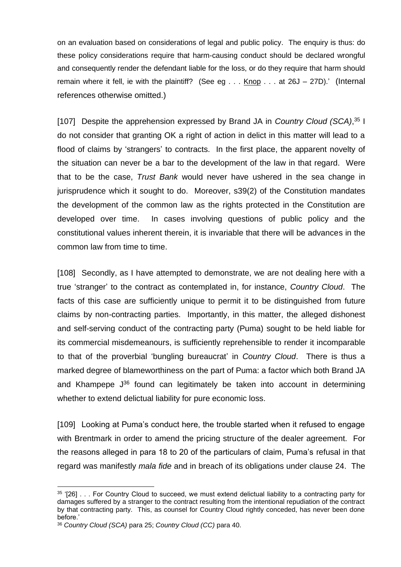on an evaluation based on considerations of legal and public policy. The enquiry is thus: do these policy considerations require that harm-causing conduct should be declared wrongful and consequently render the defendant liable for the loss, or do they require that harm should remain where it fell, ie with the plaintiff? (See eg  $\ldots$  Knop  $\ldots$  at 26J – 27D).' (Internal references otherwise omitted.)

[107] Despite the apprehension expressed by Brand JA in *Country Cloud (SCA)*, <sup>35</sup> I do not consider that granting OK a right of action in delict in this matter will lead to a flood of claims by 'strangers' to contracts. In the first place, the apparent novelty of the situation can never be a bar to the development of the law in that regard. Were that to be the case, *Trust Bank* would never have ushered in the sea change in jurisprudence which it sought to do. Moreover, s39(2) of the Constitution mandates the development of the common law as the rights protected in the Constitution are developed over time. In cases involving questions of public policy and the constitutional values inherent therein, it is invariable that there will be advances in the common law from time to time.

[108] Secondly, as I have attempted to demonstrate, we are not dealing here with a true 'stranger' to the contract as contemplated in, for instance, *Country Cloud*. The facts of this case are sufficiently unique to permit it to be distinguished from future claims by non-contracting parties. Importantly, in this matter, the alleged dishonest and self-serving conduct of the contracting party (Puma) sought to be held liable for its commercial misdemeanours, is sufficiently reprehensible to render it incomparable to that of the proverbial 'bungling bureaucrat' in *Country Cloud*. There is thus a marked degree of blameworthiness on the part of Puma: a factor which both Brand JA and Khampepe  $J^{36}$  found can legitimately be taken into account in determining whether to extend delictual liability for pure economic loss.

[109] Looking at Puma's conduct here, the trouble started when it refused to engage with Brentmark in order to amend the pricing structure of the dealer agreement. For the reasons alleged in para 18 to 20 of the particulars of claim, Puma's refusal in that regard was manifestly *mala fide* and in breach of its obligations under clause 24. The

<sup>&</sup>lt;sup>35</sup> '[26] . . . For Country Cloud to succeed, we must extend delictual liability to a contracting party for damages suffered by a stranger to the contract resulting from the intentional repudiation of the contract by that contracting party. This, as counsel for Country Cloud rightly conceded, has never been done before.'

<sup>36</sup> *Country Cloud (SCA)* para 25; *Country Cloud (CC)* para 40.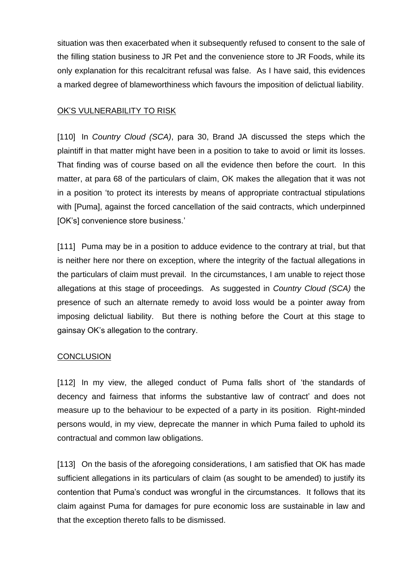situation was then exacerbated when it subsequently refused to consent to the sale of the filling station business to JR Pet and the convenience store to JR Foods, while its only explanation for this recalcitrant refusal was false. As I have said, this evidences a marked degree of blameworthiness which favours the imposition of delictual liability.

## OK'S VULNERABILITY TO RISK

[110] In *Country Cloud (SCA)*, para 30, Brand JA discussed the steps which the plaintiff in that matter might have been in a position to take to avoid or limit its losses. That finding was of course based on all the evidence then before the court. In this matter, at para 68 of the particulars of claim, OK makes the allegation that it was not in a position 'to protect its interests by means of appropriate contractual stipulations with [Puma], against the forced cancellation of the said contracts, which underpinned [OK's] convenience store business.'

[111] Puma may be in a position to adduce evidence to the contrary at trial, but that is neither here nor there on exception, where the integrity of the factual allegations in the particulars of claim must prevail. In the circumstances, I am unable to reject those allegations at this stage of proceedings. As suggested in *Country Cloud (SCA)* the presence of such an alternate remedy to avoid loss would be a pointer away from imposing delictual liability. But there is nothing before the Court at this stage to gainsay OK's allegation to the contrary.

## **CONCLUSION**

[112] In my view, the alleged conduct of Puma falls short of 'the standards of decency and fairness that informs the substantive law of contract' and does not measure up to the behaviour to be expected of a party in its position. Right-minded persons would, in my view, deprecate the manner in which Puma failed to uphold its contractual and common law obligations.

[113] On the basis of the aforegoing considerations, I am satisfied that OK has made sufficient allegations in its particulars of claim (as sought to be amended) to justify its contention that Puma's conduct was wrongful in the circumstances. It follows that its claim against Puma for damages for pure economic loss are sustainable in law and that the exception thereto falls to be dismissed.